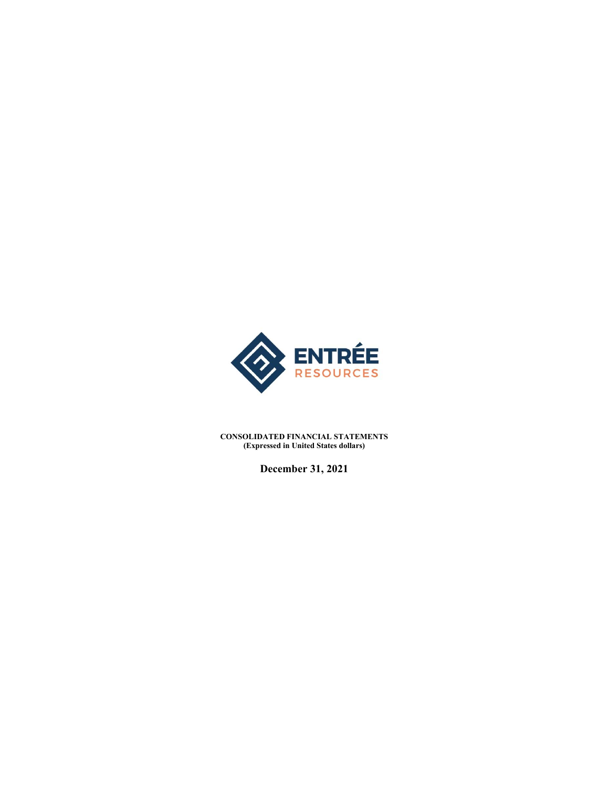

**CONSOLIDATED FINANCIAL STATEMENTS (Expressed in United States dollars)** 

**December 31, 2021**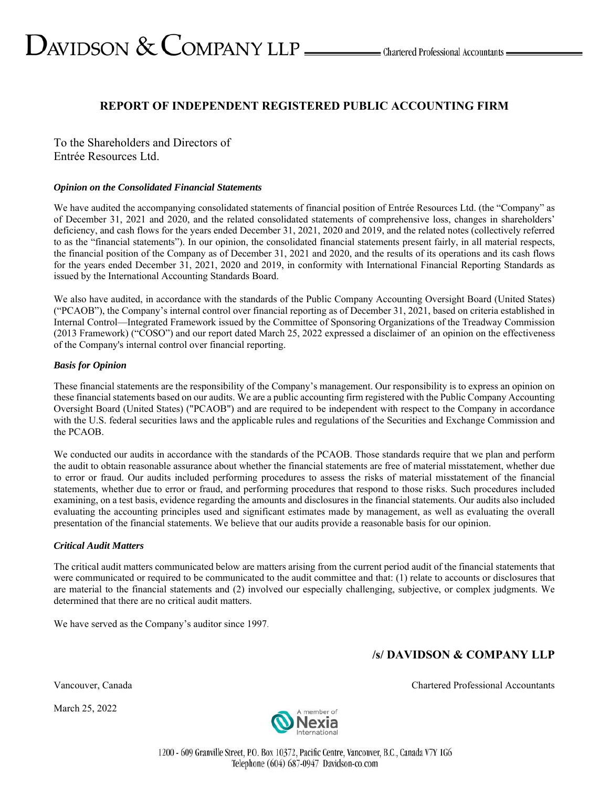### **REPORT OF INDEPENDENT REGISTERED PUBLIC ACCOUNTING FIRM**

To the Shareholders and Directors of Entrée Resources Ltd.

#### *Opinion on the Consolidated Financial Statements*

We have audited the accompanying consolidated statements of financial position of Entrée Resources Ltd. (the "Company" as of December 31, 2021 and 2020, and the related consolidated statements of comprehensive loss, changes in shareholders' deficiency, and cash flows for the years ended December 31, 2021, 2020 and 2019, and the related notes (collectively referred to as the "financial statements"). In our opinion, the consolidated financial statements present fairly, in all material respects, the financial position of the Company as of December 31, 2021 and 2020, and the results of its operations and its cash flows for the years ended December 31, 2021, 2020 and 2019, in conformity with International Financial Reporting Standards as issued by the International Accounting Standards Board.

We also have audited, in accordance with the standards of the Public Company Accounting Oversight Board (United States) ("PCAOB"), the Company's internal control over financial reporting as of December 31, 2021, based on criteria established in Internal Control—Integrated Framework issued by the Committee of Sponsoring Organizations of the Treadway Commission (2013 Framework) ("COSO") and our report dated March 25, 2022 expressed a disclaimer of an opinion on the effectiveness of the Company's internal control over financial reporting.

#### *Basis for Opinion*

These financial statements are the responsibility of the Company's management. Our responsibility is to express an opinion on these financial statements based on our audits. We are a public accounting firm registered with the Public Company Accounting Oversight Board (United States) ("PCAOB") and are required to be independent with respect to the Company in accordance with the U.S. federal securities laws and the applicable rules and regulations of the Securities and Exchange Commission and the PCAOB.

We conducted our audits in accordance with the standards of the PCAOB. Those standards require that we plan and perform the audit to obtain reasonable assurance about whether the financial statements are free of material misstatement, whether due to error or fraud. Our audits included performing procedures to assess the risks of material misstatement of the financial statements, whether due to error or fraud, and performing procedures that respond to those risks. Such procedures included examining, on a test basis, evidence regarding the amounts and disclosures in the financial statements. Our audits also included evaluating the accounting principles used and significant estimates made by management, as well as evaluating the overall presentation of the financial statements. We believe that our audits provide a reasonable basis for our opinion.

#### *Critical Audit Matters*

The critical audit matters communicated below are matters arising from the current period audit of the financial statements that were communicated or required to be communicated to the audit committee and that: (1) relate to accounts or disclosures that are material to the financial statements and (2) involved our especially challenging, subjective, or complex judgments. We determined that there are no critical audit matters.

We have served as the Company's auditor since 1997.

### **/s/ DAVIDSON & COMPANY LLP**

March 25, 2022



Vancouver, Canada Chartered Professional Accountants

1200 - 609 Granville Street, P.O. Box 10372, Pacific Centre, Vancouver, B.C., Canada V7Y 1G6 Telephone (604) 687-0947 Davidson-co.com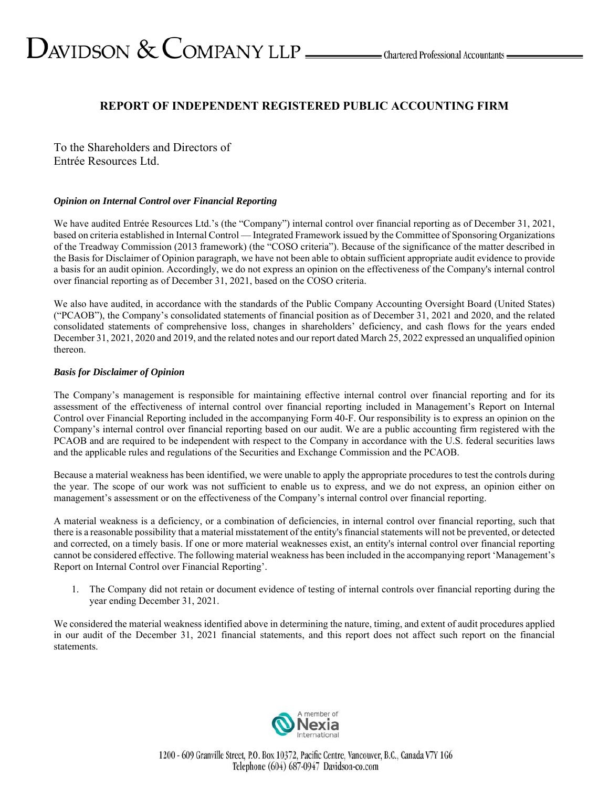### **REPORT OF INDEPENDENT REGISTERED PUBLIC ACCOUNTING FIRM**

To the Shareholders and Directors of Entrée Resources Ltd.

#### *Opinion on Internal Control over Financial Reporting*

We have audited Entrée Resources Ltd.'s (the "Company") internal control over financial reporting as of December 31, 2021, based on criteria established in Internal Control — Integrated Framework issued by the Committee of Sponsoring Organizations of the Treadway Commission (2013 framework) (the "COSO criteria"). Because of the significance of the matter described in the Basis for Disclaimer of Opinion paragraph, we have not been able to obtain sufficient appropriate audit evidence to provide a basis for an audit opinion. Accordingly, we do not express an opinion on the effectiveness of the Company's internal control over financial reporting as of December 31, 2021, based on the COSO criteria.

We also have audited, in accordance with the standards of the Public Company Accounting Oversight Board (United States) ("PCAOB"), the Company's consolidated statements of financial position as of December 31, 2021 and 2020, and the related consolidated statements of comprehensive loss, changes in shareholders' deficiency, and cash flows for the years ended December 31, 2021, 2020 and 2019, and the related notes and our report dated March 25, 2022 expressed an unqualified opinion thereon.

#### *Basis for Disclaimer of Opinion*

The Company's management is responsible for maintaining effective internal control over financial reporting and for its assessment of the effectiveness of internal control over financial reporting included in Management's Report on Internal Control over Financial Reporting included in the accompanying Form 40-F. Our responsibility is to express an opinion on the Company's internal control over financial reporting based on our audit. We are a public accounting firm registered with the PCAOB and are required to be independent with respect to the Company in accordance with the U.S. federal securities laws and the applicable rules and regulations of the Securities and Exchange Commission and the PCAOB.

Because a material weakness has been identified, we were unable to apply the appropriate procedures to test the controls during the year. The scope of our work was not sufficient to enable us to express, and we do not express, an opinion either on management's assessment or on the effectiveness of the Company's internal control over financial reporting.

A material weakness is a deficiency, or a combination of deficiencies, in internal control over financial reporting, such that there is a reasonable possibility that a material misstatement of the entity's financial statements will not be prevented, or detected and corrected, on a timely basis. If one or more material weaknesses exist, an entity's internal control over financial reporting cannot be considered effective. The following material weakness has been included in the accompanying report 'Management's Report on Internal Control over Financial Reporting'.

1. The Company did not retain or document evidence of testing of internal controls over financial reporting during the year ending December 31, 2021.

We considered the material weakness identified above in determining the nature, timing, and extent of audit procedures applied in our audit of the December 31, 2021 financial statements, and this report does not affect such report on the financial statements.

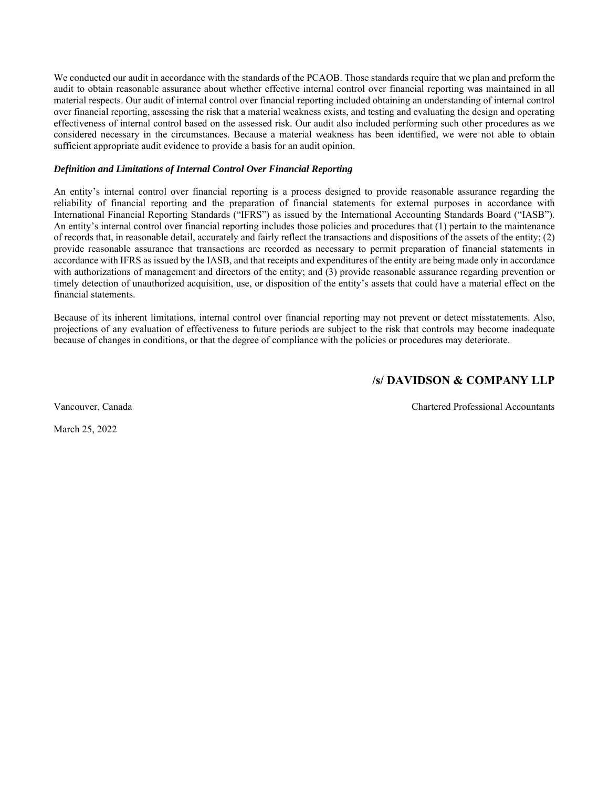We conducted our audit in accordance with the standards of the PCAOB. Those standards require that we plan and preform the audit to obtain reasonable assurance about whether effective internal control over financial reporting was maintained in all material respects. Our audit of internal control over financial reporting included obtaining an understanding of internal control over financial reporting, assessing the risk that a material weakness exists, and testing and evaluating the design and operating effectiveness of internal control based on the assessed risk. Our audit also included performing such other procedures as we considered necessary in the circumstances. Because a material weakness has been identified, we were not able to obtain sufficient appropriate audit evidence to provide a basis for an audit opinion.

#### *Definition and Limitations of Internal Control Over Financial Reporting*

An entity's internal control over financial reporting is a process designed to provide reasonable assurance regarding the reliability of financial reporting and the preparation of financial statements for external purposes in accordance with International Financial Reporting Standards ("IFRS") as issued by the International Accounting Standards Board ("IASB"). An entity's internal control over financial reporting includes those policies and procedures that (1) pertain to the maintenance of records that, in reasonable detail, accurately and fairly reflect the transactions and dispositions of the assets of the entity; (2) provide reasonable assurance that transactions are recorded as necessary to permit preparation of financial statements in accordance with IFRS as issued by the IASB, and that receipts and expenditures of the entity are being made only in accordance with authorizations of management and directors of the entity; and (3) provide reasonable assurance regarding prevention or timely detection of unauthorized acquisition, use, or disposition of the entity's assets that could have a material effect on the financial statements.

Because of its inherent limitations, internal control over financial reporting may not prevent or detect misstatements. Also, projections of any evaluation of effectiveness to future periods are subject to the risk that controls may become inadequate because of changes in conditions, or that the degree of compliance with the policies or procedures may deteriorate.

### **/s/ DAVIDSON & COMPANY LLP**

Vancouver, Canada Chartered Professional Accountants

March 25, 2022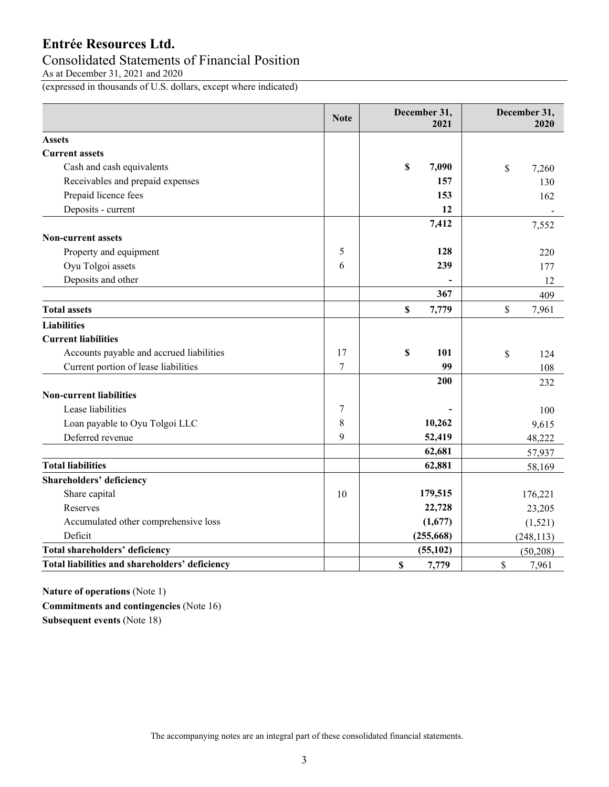# Consolidated Statements of Financial Position

As at December 31, 2021 and 2020

(expressed in thousands of U.S. dollars, except where indicated)

|                                                | <b>Note</b> | December 31,<br>2021 | December 31,<br>2020 |
|------------------------------------------------|-------------|----------------------|----------------------|
| <b>Assets</b>                                  |             |                      |                      |
| <b>Current assets</b>                          |             |                      |                      |
| Cash and cash equivalents                      |             | \$<br>7,090          | \$<br>7,260          |
| Receivables and prepaid expenses               |             | 157                  | 130                  |
| Prepaid licence fees                           |             | 153                  | 162                  |
| Deposits - current                             |             | 12                   |                      |
|                                                |             | 7,412                | 7,552                |
| <b>Non-current assets</b>                      |             |                      |                      |
| Property and equipment                         | 5           | 128                  | 220                  |
| Oyu Tolgoi assets                              | 6           | 239                  | 177                  |
| Deposits and other                             |             |                      | 12                   |
|                                                |             | 367                  | 409                  |
| <b>Total assets</b>                            |             | \$<br>7,779          | \$<br>7,961          |
| <b>Liabilities</b>                             |             |                      |                      |
| <b>Current liabilities</b>                     |             |                      |                      |
| Accounts payable and accrued liabilities       | 17          | $\mathbf S$<br>101   | \$<br>124            |
| Current portion of lease liabilities           | 7           | 99                   | 108                  |
|                                                |             | 200                  | 232                  |
| <b>Non-current liabilities</b>                 |             |                      |                      |
| Lease liabilities                              | 7           |                      | 100                  |
| Loan payable to Oyu Tolgoi LLC                 | 8           | 10,262               | 9,615                |
| Deferred revenue                               | 9           | 52,419               | 48,222               |
|                                                |             | 62,681               | 57,937               |
| <b>Total liabilities</b>                       |             | 62,881               | 58,169               |
| Shareholders' deficiency                       |             |                      |                      |
| Share capital                                  | 10          | 179,515              | 176,221              |
| Reserves                                       |             | 22,728               | 23,205               |
| Accumulated other comprehensive loss           |             | (1,677)              | (1,521)              |
| Deficit                                        |             | (255, 668)           | (248, 113)           |
| Total shareholders' deficiency                 |             | (55, 102)            | (50, 208)            |
| Total liabilities and shareholders' deficiency |             | \$<br>7,779          | \$<br>7,961          |

**Nature of operations** (Note 1)

**Commitments and contingencies** (Note 16)

**Subsequent events** (Note 18)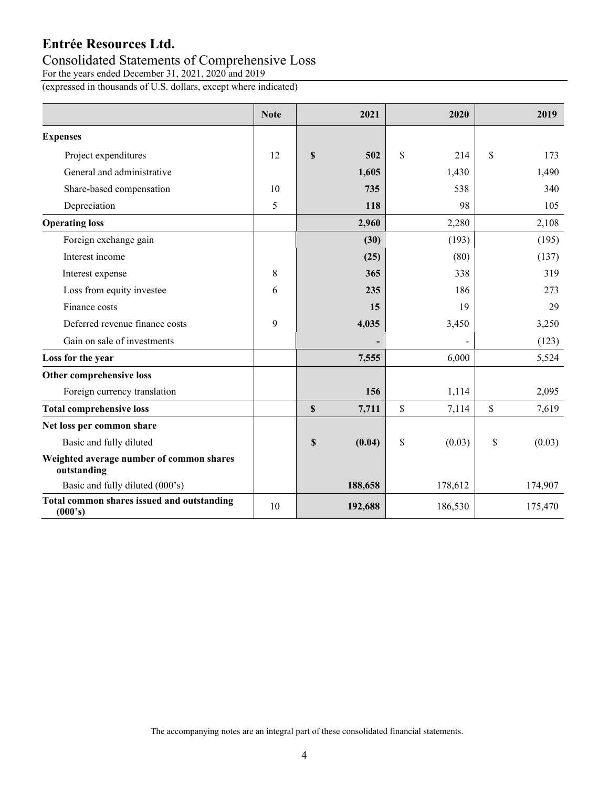# Consolidated Statements of Comprehensive Loss

For the years ended December 31, 2021, 2020 and 2019

(expressed in thousands of U.S. dollars, except where indicated)

|                                                         | <b>Note</b> |             | 2021    | 2020         | 2019         |
|---------------------------------------------------------|-------------|-------------|---------|--------------|--------------|
| <b>Expenses</b>                                         |             |             |         |              |              |
| Project expenditures                                    | 12          | $\mathbf S$ | 502     | \$<br>214    | \$<br>173    |
| General and administrative                              |             |             | 1,605   | 1,430        | 1,490        |
| Share-based compensation                                | 10          |             | 735     | 538          | 340          |
| Depreciation                                            | 5           |             | 118     | 98           | 105          |
| <b>Operating loss</b>                                   |             |             | 2,960   | 2,280        | 2,108        |
| Foreign exchange gain                                   |             |             | (30)    | (193)        | (195)        |
| Interest income                                         |             |             | (25)    | (80)         | (137)        |
| Interest expense                                        | $8\,$       |             | 365     | 338          | 319          |
| Loss from equity investee                               | 6           |             | 235     | 186          | 273          |
| Finance costs                                           |             |             | 15      | 19           | 29           |
| Deferred revenue finance costs                          | 9           |             | 4,035   | 3,450        | 3,250        |
| Gain on sale of investments                             |             |             |         |              | (123)        |
| Loss for the year                                       |             |             | 7,555   | 6,000        | 5,524        |
| Other comprehensive loss                                |             |             |         |              |              |
| Foreign currency translation                            |             |             | 156     | 1,114        | 2,095        |
| <b>Total comprehensive loss</b>                         |             | $\mathbf S$ | 7,711   | \$<br>7,114  | \$<br>7,619  |
| Net loss per common share                               |             |             |         |              |              |
| Basic and fully diluted                                 |             | \$          | (0.04)  | \$<br>(0.03) | \$<br>(0.03) |
| Weighted average number of common shares<br>outstanding |             |             |         |              |              |
| Basic and fully diluted (000's)                         |             |             | 188,658 | 178,612      | 174,907      |
| Total common shares issued and outstanding<br>(000's)   | 10          |             | 192,688 | 186,530      | 175,470      |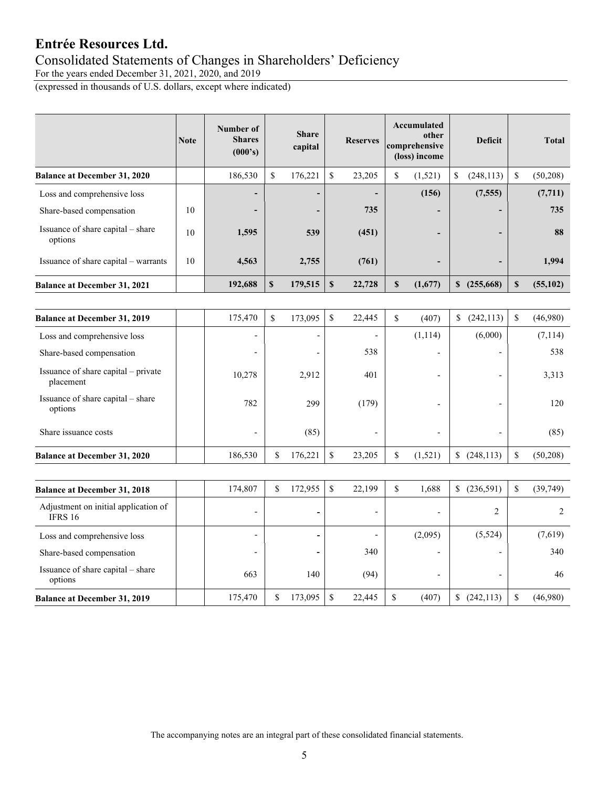# Consolidated Statements of Changes in Shareholders' Deficiency

For the years ended December 31, 2021, 2020, and 2019

(expressed in thousands of U.S. dollars, except where indicated)

|                                              | <b>Note</b> | Number of<br><b>Shares</b><br>(000's) |               | <b>Share</b><br>capital |               | <b>Reserves</b> |          | Accumulated<br>other<br>comprehensive<br>(loss) income |    | <b>Deficit</b> |    | <b>Total</b> |
|----------------------------------------------|-------------|---------------------------------------|---------------|-------------------------|---------------|-----------------|----------|--------------------------------------------------------|----|----------------|----|--------------|
| <b>Balance at December 31, 2020</b>          |             | 186,530                               | <sup>\$</sup> | 176,221                 | <sup>\$</sup> | 23,205          | \$       | (1,521)                                                | S  | (248, 113)     | \$ | (50,208)     |
| Loss and comprehensive loss                  |             | -                                     |               | -                       |               |                 |          | (156)                                                  |    | (7, 555)       |    | (7,711)      |
| Share-based compensation                     | 10          |                                       |               |                         |               | 735             |          | $\overline{\phantom{0}}$                               |    |                |    | 735          |
| Issuance of share capital – share<br>options | 10          | 1,595                                 |               | 539                     |               | (451)           |          | $\overline{\phantom{0}}$                               |    | -              |    | 88           |
| Issuance of share capital – warrants         | 10          | 4,563                                 |               | 2,755                   |               | (761)           |          | $\overline{\phantom{0}}$                               |    | -              |    | 1,994        |
| <b>Balance at December 31, 2021</b>          |             | 192,688                               | \$.           | 179,515                 | <b>S</b>      | 22,728          | <b>S</b> | (1,677)                                                | \$ | (255,668)      | S  | (55, 102)    |

| <b>Balance at December 31, 2019</b>              | 175,470                  | \$<br>173,095 | S | 22,445                   | S | (407)                    | \$<br>(242, 113)         | -S            | (46,980)  |
|--------------------------------------------------|--------------------------|---------------|---|--------------------------|---|--------------------------|--------------------------|---------------|-----------|
| Loss and comprehensive loss                      | $\qquad \qquad$          |               |   | -                        |   | (1,114)                  | (6,000)                  |               | (7, 114)  |
| Share-based compensation                         | $\overline{\phantom{a}}$ |               |   | 538                      |   | $\overline{\phantom{0}}$ |                          |               | 538       |
| Issuance of share capital – private<br>placement | 10,278                   | 2,912         |   | 401                      |   | $\overline{\phantom{0}}$ | $\overline{\phantom{0}}$ |               | 3,313     |
| Issuance of share capital – share<br>options     | 782                      | 299           |   | (179)                    |   |                          | -                        |               | 120       |
| Share issuance costs                             | $\overline{\phantom{a}}$ | (85)          |   | $\overline{\phantom{0}}$ |   |                          | $\overline{\phantom{0}}$ |               | (85)      |
| <b>Balance at December 31, 2020</b>              | 186,530                  | \$<br>176,221 |   | 23,205                   |   | (1,521)                  | \$<br>(248, 113)         | <sup>\$</sup> | (50, 208) |

| <b>Balance at December 31, 2018</b>             | 174,807                  | 172,955 | 22,199<br>S | 1,688                    | (236, 591)<br>S | (39, 749)<br>S |
|-------------------------------------------------|--------------------------|---------|-------------|--------------------------|-----------------|----------------|
| Adjustment on initial application of<br>IFRS 16 | $\overline{\phantom{a}}$ |         | -           |                          |                 |                |
| Loss and comprehensive loss                     |                          |         |             | (2,095)                  | (5,524)         | (7,619)        |
| Share-based compensation                        |                          |         | 340         | $\overline{\phantom{0}}$ |                 | 340            |
| Issuance of share capital – share<br>options    | 663                      | 140     | (94)        |                          |                 | 46             |
| <b>Balance at December 31, 2019</b>             | 175,470                  | 173,095 | 22,445      | (407)<br>S.              | (242, 113)<br>S | (46,980)       |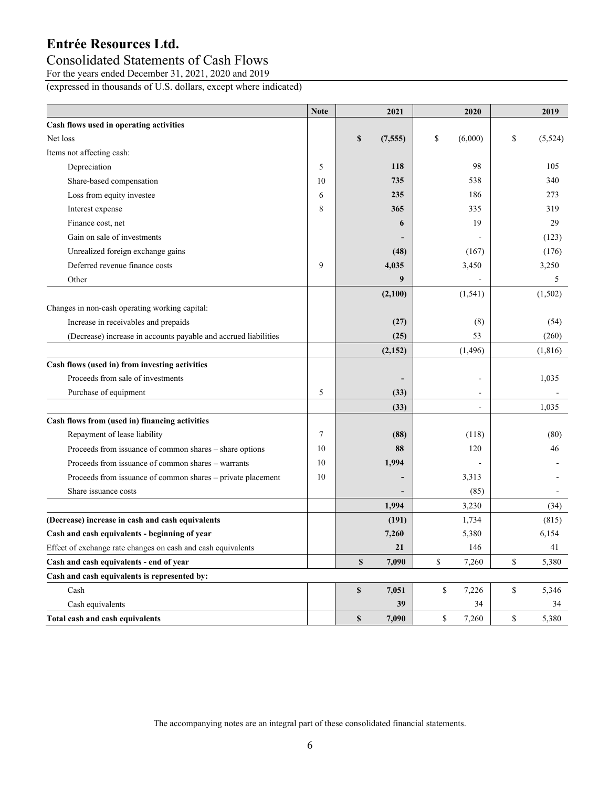# Consolidated Statements of Cash Flows

For the years ended December 31, 2021, 2020 and 2019

(expressed in thousands of U.S. dollars, except where indicated)

|                                                                 | <b>Note</b> | 2021                     | 2020                     | 2019          |
|-----------------------------------------------------------------|-------------|--------------------------|--------------------------|---------------|
| Cash flows used in operating activities                         |             |                          |                          |               |
| Net loss                                                        |             | \$<br>(7, 555)           | \$<br>(6,000)            | \$<br>(5,524) |
| Items not affecting cash:                                       |             |                          |                          |               |
| Depreciation                                                    | 5           | 118                      | 98                       | 105           |
| Share-based compensation                                        | 10          | 735                      | 538                      | 340           |
| Loss from equity investee                                       | 6           | 235                      | 186                      | 273           |
| Interest expense                                                | 8           | 365                      | 335                      | 319           |
| Finance cost, net                                               |             | 6                        | 19                       | 29            |
| Gain on sale of investments                                     |             |                          |                          | (123)         |
| Unrealized foreign exchange gains                               |             | (48)                     | (167)                    | (176)         |
| Deferred revenue finance costs                                  | 9           | 4,035                    | 3,450                    | 3,250         |
| Other                                                           |             | 9                        |                          | 5             |
|                                                                 |             | (2,100)                  | (1, 541)                 | (1,502)       |
| Changes in non-cash operating working capital:                  |             |                          |                          |               |
| Increase in receivables and prepaids                            |             | (27)                     | (8)                      | (54)          |
| (Decrease) increase in accounts payable and accrued liabilities |             | (25)                     | 53                       | (260)         |
|                                                                 |             | (2, 152)                 | (1, 496)                 | (1, 816)      |
| Cash flows (used in) from investing activities                  |             |                          |                          |               |
| Proceeds from sale of investments                               |             | $\overline{\phantom{0}}$ | $\overline{\phantom{0}}$ | 1,035         |
| Purchase of equipment                                           | 5           | (33)                     | ٠                        |               |
|                                                                 |             | (33)                     | $\overline{\phantom{a}}$ | 1,035         |
| Cash flows from (used in) financing activities                  |             |                          |                          |               |
| Repayment of lease liability                                    | 7           | (88)                     | (118)                    | (80)          |
| Proceeds from issuance of common shares - share options         | 10          | 88                       | 120                      | 46            |
| Proceeds from issuance of common shares - warrants              | 10          | 1,994                    |                          |               |
| Proceeds from issuance of common shares - private placement     | 10          |                          | 3,313                    |               |
| Share issuance costs                                            |             |                          | (85)                     |               |
|                                                                 |             | 1,994                    | 3,230                    | (34)          |
| (Decrease) increase in cash and cash equivalents                |             | (191)                    | 1,734                    | (815)         |
| Cash and cash equivalents - beginning of year                   |             | 7,260                    | 5,380                    | 6,154         |
| Effect of exchange rate changes on cash and cash equivalents    |             | 21                       | 146                      | 41            |
| Cash and cash equivalents - end of year                         |             | \$<br>7,090              | \$<br>7,260              | \$<br>5,380   |
| Cash and cash equivalents is represented by:                    |             |                          |                          |               |
| Cash                                                            |             | \$<br>7,051              | \$<br>7,226              | \$<br>5,346   |
| Cash equivalents                                                |             | 39                       | 34                       | 34            |
| Total cash and cash equivalents                                 |             | \$<br>7,090              | \$<br>7,260              | \$<br>5,380   |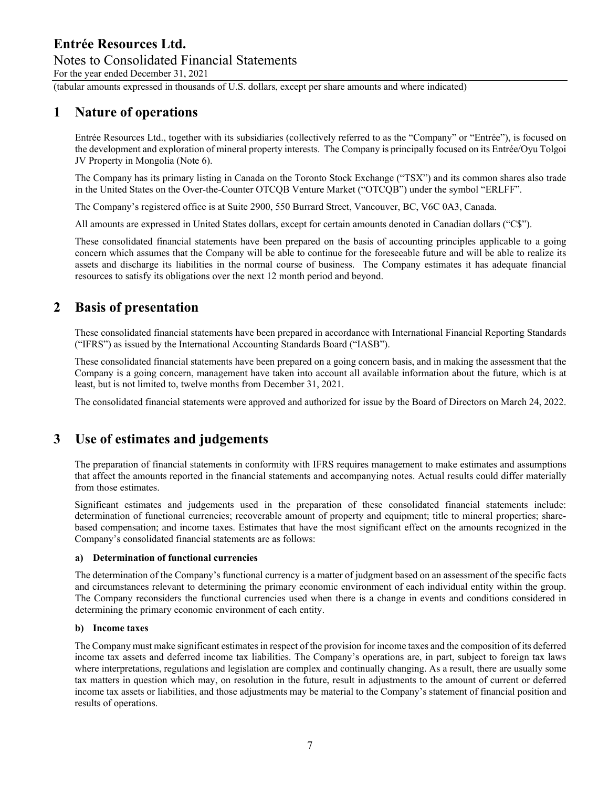(tabular amounts expressed in thousands of U.S. dollars, except per share amounts and where indicated)

### **1 Nature of operations**

Entrée Resources Ltd., together with its subsidiaries (collectively referred to as the "Company" or "Entrée"), is focused on the development and exploration of mineral property interests. The Company is principally focused on its Entrée/Oyu Tolgoi JV Property in Mongolia (Note 6).

The Company has its primary listing in Canada on the Toronto Stock Exchange ("TSX") and its common shares also trade in the United States on the Over-the-Counter OTCQB Venture Market ("OTCQB") under the symbol "ERLFF".

The Company's registered office is at Suite 2900, 550 Burrard Street, Vancouver, BC, V6C 0A3, Canada.

All amounts are expressed in United States dollars, except for certain amounts denoted in Canadian dollars ("C\$").

These consolidated financial statements have been prepared on the basis of accounting principles applicable to a going concern which assumes that the Company will be able to continue for the foreseeable future and will be able to realize its assets and discharge its liabilities in the normal course of business. The Company estimates it has adequate financial resources to satisfy its obligations over the next 12 month period and beyond.

### **2 Basis of presentation**

These consolidated financial statements have been prepared in accordance with International Financial Reporting Standards ("IFRS") as issued by the International Accounting Standards Board ("IASB").

These consolidated financial statements have been prepared on a going concern basis, and in making the assessment that the Company is a going concern, management have taken into account all available information about the future, which is at least, but is not limited to, twelve months from December 31, 2021.

The consolidated financial statements were approved and authorized for issue by the Board of Directors on March 24, 2022.

### **3 Use of estimates and judgements**

The preparation of financial statements in conformity with IFRS requires management to make estimates and assumptions that affect the amounts reported in the financial statements and accompanying notes. Actual results could differ materially from those estimates.

Significant estimates and judgements used in the preparation of these consolidated financial statements include: determination of functional currencies; recoverable amount of property and equipment; title to mineral properties; sharebased compensation; and income taxes. Estimates that have the most significant effect on the amounts recognized in the Company's consolidated financial statements are as follows:

#### **a) Determination of functional currencies**

The determination of the Company's functional currency is a matter of judgment based on an assessment of the specific facts and circumstances relevant to determining the primary economic environment of each individual entity within the group. The Company reconsiders the functional currencies used when there is a change in events and conditions considered in determining the primary economic environment of each entity.

#### **b) Income taxes**

The Company must make significant estimates in respect of the provision for income taxes and the composition of its deferred income tax assets and deferred income tax liabilities. The Company's operations are, in part, subject to foreign tax laws where interpretations, regulations and legislation are complex and continually changing. As a result, there are usually some tax matters in question which may, on resolution in the future, result in adjustments to the amount of current or deferred income tax assets or liabilities, and those adjustments may be material to the Company's statement of financial position and results of operations.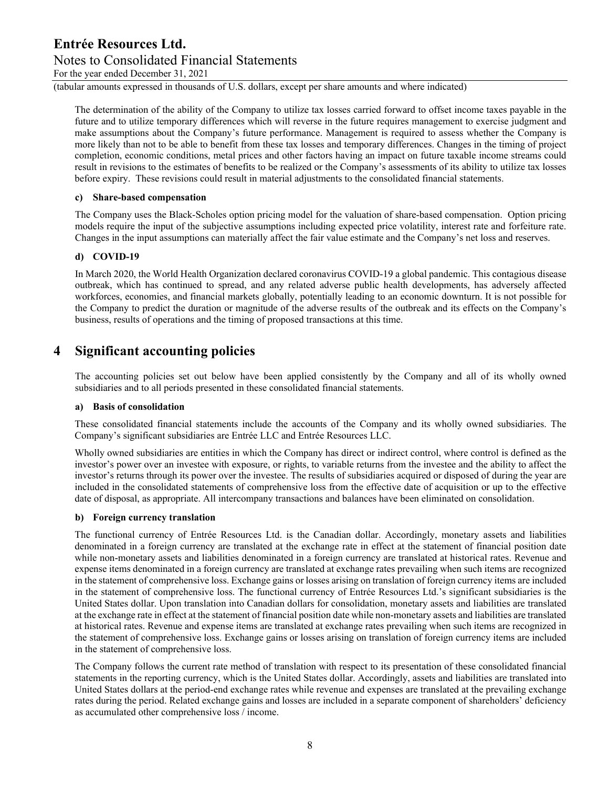(tabular amounts expressed in thousands of U.S. dollars, except per share amounts and where indicated)

The determination of the ability of the Company to utilize tax losses carried forward to offset income taxes payable in the future and to utilize temporary differences which will reverse in the future requires management to exercise judgment and make assumptions about the Company's future performance. Management is required to assess whether the Company is more likely than not to be able to benefit from these tax losses and temporary differences. Changes in the timing of project completion, economic conditions, metal prices and other factors having an impact on future taxable income streams could result in revisions to the estimates of benefits to be realized or the Company's assessments of its ability to utilize tax losses before expiry. These revisions could result in material adjustments to the consolidated financial statements.

#### **c) Share-based compensation**

The Company uses the Black-Scholes option pricing model for the valuation of share-based compensation. Option pricing models require the input of the subjective assumptions including expected price volatility, interest rate and forfeiture rate. Changes in the input assumptions can materially affect the fair value estimate and the Company's net loss and reserves.

#### **d) COVID-19**

In March 2020, the World Health Organization declared coronavirus COVID-19 a global pandemic. This contagious disease outbreak, which has continued to spread, and any related adverse public health developments, has adversely affected workforces, economies, and financial markets globally, potentially leading to an economic downturn. It is not possible for the Company to predict the duration or magnitude of the adverse results of the outbreak and its effects on the Company's business, results of operations and the timing of proposed transactions at this time.

# **4 Significant accounting policies**

The accounting policies set out below have been applied consistently by the Company and all of its wholly owned subsidiaries and to all periods presented in these consolidated financial statements.

#### **a) Basis of consolidation**

These consolidated financial statements include the accounts of the Company and its wholly owned subsidiaries. The Company's significant subsidiaries are Entrée LLC and Entrée Resources LLC.

Wholly owned subsidiaries are entities in which the Company has direct or indirect control, where control is defined as the investor's power over an investee with exposure, or rights, to variable returns from the investee and the ability to affect the investor's returns through its power over the investee. The results of subsidiaries acquired or disposed of during the year are included in the consolidated statements of comprehensive loss from the effective date of acquisition or up to the effective date of disposal, as appropriate. All intercompany transactions and balances have been eliminated on consolidation.

#### **b) Foreign currency translation**

The functional currency of Entrée Resources Ltd. is the Canadian dollar. Accordingly, monetary assets and liabilities denominated in a foreign currency are translated at the exchange rate in effect at the statement of financial position date while non-monetary assets and liabilities denominated in a foreign currency are translated at historical rates. Revenue and expense items denominated in a foreign currency are translated at exchange rates prevailing when such items are recognized in the statement of comprehensive loss. Exchange gains or losses arising on translation of foreign currency items are included in the statement of comprehensive loss. The functional currency of Entrée Resources Ltd.'s significant subsidiaries is the United States dollar. Upon translation into Canadian dollars for consolidation, monetary assets and liabilities are translated at the exchange rate in effect at the statement of financial position date while non-monetary assets and liabilities are translated at historical rates. Revenue and expense items are translated at exchange rates prevailing when such items are recognized in the statement of comprehensive loss. Exchange gains or losses arising on translation of foreign currency items are included in the statement of comprehensive loss.

The Company follows the current rate method of translation with respect to its presentation of these consolidated financial statements in the reporting currency, which is the United States dollar. Accordingly, assets and liabilities are translated into United States dollars at the period-end exchange rates while revenue and expenses are translated at the prevailing exchange rates during the period. Related exchange gains and losses are included in a separate component of shareholders' deficiency as accumulated other comprehensive loss / income.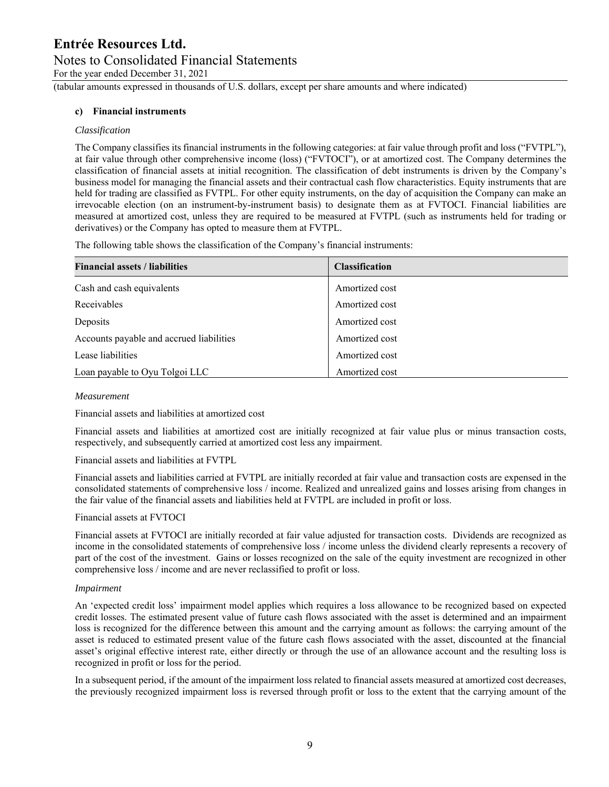(tabular amounts expressed in thousands of U.S. dollars, except per share amounts and where indicated)

#### **c) Financial instruments**

#### *Classification*

The Company classifies its financial instruments in the following categories: at fair value through profit and loss ("FVTPL"), at fair value through other comprehensive income (loss) ("FVTOCI"), or at amortized cost. The Company determines the classification of financial assets at initial recognition. The classification of debt instruments is driven by the Company's business model for managing the financial assets and their contractual cash flow characteristics. Equity instruments that are held for trading are classified as FVTPL. For other equity instruments, on the day of acquisition the Company can make an irrevocable election (on an instrument-by-instrument basis) to designate them as at FVTOCI. Financial liabilities are measured at amortized cost, unless they are required to be measured at FVTPL (such as instruments held for trading or derivatives) or the Company has opted to measure them at FVTPL.

The following table shows the classification of the Company's financial instruments:

| <b>Financial assets / liabilities</b>    | <b>Classification</b> |
|------------------------------------------|-----------------------|
| Cash and cash equivalents                | Amortized cost        |
| Receivables                              | Amortized cost        |
| Deposits                                 | Amortized cost        |
| Accounts payable and accrued liabilities | Amortized cost        |
| Lease liabilities                        | Amortized cost        |
| Loan payable to Oyu Tolgoi LLC           | Amortized cost        |

#### *Measurement*

Financial assets and liabilities at amortized cost

Financial assets and liabilities at amortized cost are initially recognized at fair value plus or minus transaction costs, respectively, and subsequently carried at amortized cost less any impairment.

#### Financial assets and liabilities at FVTPL

Financial assets and liabilities carried at FVTPL are initially recorded at fair value and transaction costs are expensed in the consolidated statements of comprehensive loss / income. Realized and unrealized gains and losses arising from changes in the fair value of the financial assets and liabilities held at FVTPL are included in profit or loss.

#### Financial assets at FVTOCI

Financial assets at FVTOCI are initially recorded at fair value adjusted for transaction costs. Dividends are recognized as income in the consolidated statements of comprehensive loss / income unless the dividend clearly represents a recovery of part of the cost of the investment. Gains or losses recognized on the sale of the equity investment are recognized in other comprehensive loss / income and are never reclassified to profit or loss.

#### *Impairment*

An 'expected credit loss' impairment model applies which requires a loss allowance to be recognized based on expected credit losses. The estimated present value of future cash flows associated with the asset is determined and an impairment loss is recognized for the difference between this amount and the carrying amount as follows: the carrying amount of the asset is reduced to estimated present value of the future cash flows associated with the asset, discounted at the financial asset's original effective interest rate, either directly or through the use of an allowance account and the resulting loss is recognized in profit or loss for the period.

In a subsequent period, if the amount of the impairment loss related to financial assets measured at amortized cost decreases, the previously recognized impairment loss is reversed through profit or loss to the extent that the carrying amount of the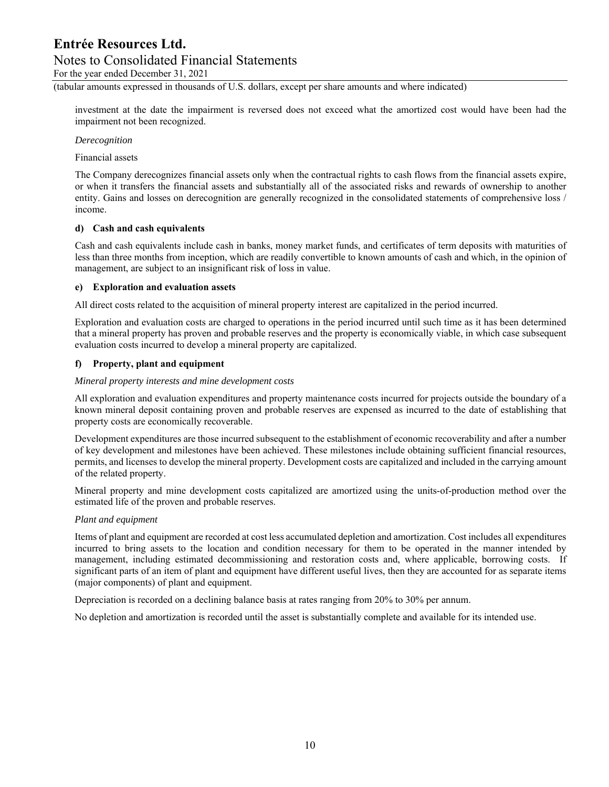(tabular amounts expressed in thousands of U.S. dollars, except per share amounts and where indicated)

investment at the date the impairment is reversed does not exceed what the amortized cost would have been had the impairment not been recognized.

#### *Derecognition*

Financial assets

The Company derecognizes financial assets only when the contractual rights to cash flows from the financial assets expire, or when it transfers the financial assets and substantially all of the associated risks and rewards of ownership to another entity. Gains and losses on derecognition are generally recognized in the consolidated statements of comprehensive loss / income.

#### **d) Cash and cash equivalents**

Cash and cash equivalents include cash in banks, money market funds, and certificates of term deposits with maturities of less than three months from inception, which are readily convertible to known amounts of cash and which, in the opinion of management, are subject to an insignificant risk of loss in value.

#### **e) Exploration and evaluation assets**

All direct costs related to the acquisition of mineral property interest are capitalized in the period incurred.

Exploration and evaluation costs are charged to operations in the period incurred until such time as it has been determined that a mineral property has proven and probable reserves and the property is economically viable, in which case subsequent evaluation costs incurred to develop a mineral property are capitalized.

#### **f) Property, plant and equipment**

#### *Mineral property interests and mine development costs*

All exploration and evaluation expenditures and property maintenance costs incurred for projects outside the boundary of a known mineral deposit containing proven and probable reserves are expensed as incurred to the date of establishing that property costs are economically recoverable.

Development expenditures are those incurred subsequent to the establishment of economic recoverability and after a number of key development and milestones have been achieved. These milestones include obtaining sufficient financial resources, permits, and licenses to develop the mineral property. Development costs are capitalized and included in the carrying amount of the related property.

Mineral property and mine development costs capitalized are amortized using the units-of-production method over the estimated life of the proven and probable reserves.

#### *Plant and equipment*

Items of plant and equipment are recorded at cost less accumulated depletion and amortization. Cost includes all expenditures incurred to bring assets to the location and condition necessary for them to be operated in the manner intended by management, including estimated decommissioning and restoration costs and, where applicable, borrowing costs. If significant parts of an item of plant and equipment have different useful lives, then they are accounted for as separate items (major components) of plant and equipment.

Depreciation is recorded on a declining balance basis at rates ranging from 20% to 30% per annum.

No depletion and amortization is recorded until the asset is substantially complete and available for its intended use.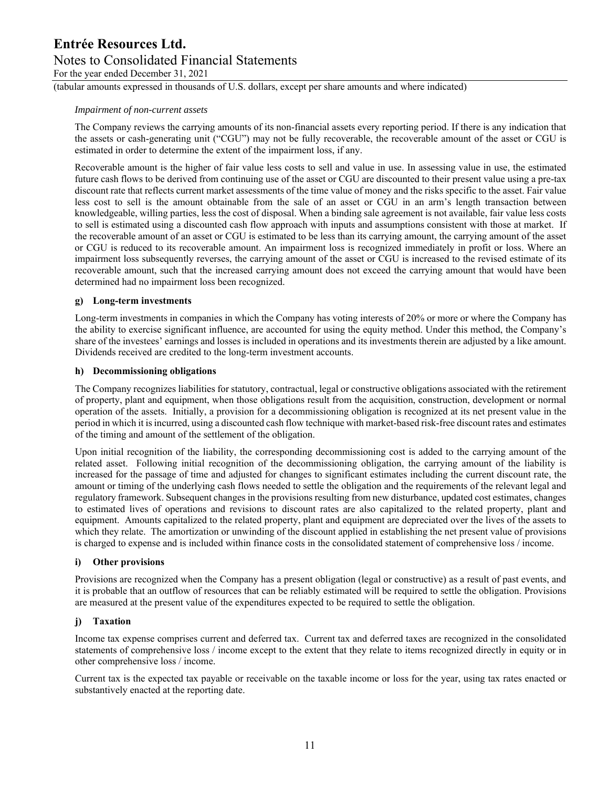(tabular amounts expressed in thousands of U.S. dollars, except per share amounts and where indicated)

#### *Impairment of non-current assets*

The Company reviews the carrying amounts of its non-financial assets every reporting period. If there is any indication that the assets or cash-generating unit ("CGU") may not be fully recoverable, the recoverable amount of the asset or CGU is estimated in order to determine the extent of the impairment loss, if any.

Recoverable amount is the higher of fair value less costs to sell and value in use. In assessing value in use, the estimated future cash flows to be derived from continuing use of the asset or CGU are discounted to their present value using a pre-tax discount rate that reflects current market assessments of the time value of money and the risks specific to the asset. Fair value less cost to sell is the amount obtainable from the sale of an asset or CGU in an arm's length transaction between knowledgeable, willing parties, less the cost of disposal. When a binding sale agreement is not available, fair value less costs to sell is estimated using a discounted cash flow approach with inputs and assumptions consistent with those at market. If the recoverable amount of an asset or CGU is estimated to be less than its carrying amount, the carrying amount of the asset or CGU is reduced to its recoverable amount. An impairment loss is recognized immediately in profit or loss. Where an impairment loss subsequently reverses, the carrying amount of the asset or CGU is increased to the revised estimate of its recoverable amount, such that the increased carrying amount does not exceed the carrying amount that would have been determined had no impairment loss been recognized.

#### **g) Long-term investments**

Long-term investments in companies in which the Company has voting interests of 20% or more or where the Company has the ability to exercise significant influence, are accounted for using the equity method. Under this method, the Company's share of the investees' earnings and losses is included in operations and its investments therein are adjusted by a like amount. Dividends received are credited to the long-term investment accounts.

#### **h) Decommissioning obligations**

The Company recognizes liabilities for statutory, contractual, legal or constructive obligations associated with the retirement of property, plant and equipment, when those obligations result from the acquisition, construction, development or normal operation of the assets. Initially, a provision for a decommissioning obligation is recognized at its net present value in the period in which it is incurred, using a discounted cash flow technique with market-based risk-free discount rates and estimates of the timing and amount of the settlement of the obligation.

Upon initial recognition of the liability, the corresponding decommissioning cost is added to the carrying amount of the related asset. Following initial recognition of the decommissioning obligation, the carrying amount of the liability is increased for the passage of time and adjusted for changes to significant estimates including the current discount rate, the amount or timing of the underlying cash flows needed to settle the obligation and the requirements of the relevant legal and regulatory framework. Subsequent changes in the provisions resulting from new disturbance, updated cost estimates, changes to estimated lives of operations and revisions to discount rates are also capitalized to the related property, plant and equipment. Amounts capitalized to the related property, plant and equipment are depreciated over the lives of the assets to which they relate. The amortization or unwinding of the discount applied in establishing the net present value of provisions is charged to expense and is included within finance costs in the consolidated statement of comprehensive loss / income.

#### **i) Other provisions**

Provisions are recognized when the Company has a present obligation (legal or constructive) as a result of past events, and it is probable that an outflow of resources that can be reliably estimated will be required to settle the obligation. Provisions are measured at the present value of the expenditures expected to be required to settle the obligation.

#### **j) Taxation**

Income tax expense comprises current and deferred tax. Current tax and deferred taxes are recognized in the consolidated statements of comprehensive loss / income except to the extent that they relate to items recognized directly in equity or in other comprehensive loss / income.

Current tax is the expected tax payable or receivable on the taxable income or loss for the year, using tax rates enacted or substantively enacted at the reporting date.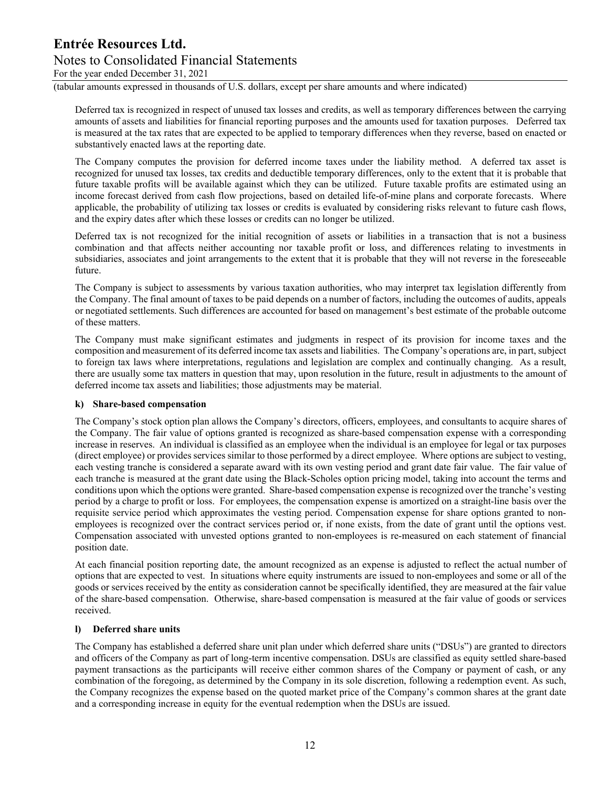(tabular amounts expressed in thousands of U.S. dollars, except per share amounts and where indicated)

Deferred tax is recognized in respect of unused tax losses and credits, as well as temporary differences between the carrying amounts of assets and liabilities for financial reporting purposes and the amounts used for taxation purposes. Deferred tax is measured at the tax rates that are expected to be applied to temporary differences when they reverse, based on enacted or substantively enacted laws at the reporting date.

The Company computes the provision for deferred income taxes under the liability method. A deferred tax asset is recognized for unused tax losses, tax credits and deductible temporary differences, only to the extent that it is probable that future taxable profits will be available against which they can be utilized. Future taxable profits are estimated using an income forecast derived from cash flow projections, based on detailed life-of-mine plans and corporate forecasts. Where applicable, the probability of utilizing tax losses or credits is evaluated by considering risks relevant to future cash flows, and the expiry dates after which these losses or credits can no longer be utilized.

Deferred tax is not recognized for the initial recognition of assets or liabilities in a transaction that is not a business combination and that affects neither accounting nor taxable profit or loss, and differences relating to investments in subsidiaries, associates and joint arrangements to the extent that it is probable that they will not reverse in the foreseeable future.

The Company is subject to assessments by various taxation authorities, who may interpret tax legislation differently from the Company. The final amount of taxes to be paid depends on a number of factors, including the outcomes of audits, appeals or negotiated settlements. Such differences are accounted for based on management's best estimate of the probable outcome of these matters.

The Company must make significant estimates and judgments in respect of its provision for income taxes and the composition and measurement of its deferred income tax assets and liabilities. The Company's operations are, in part, subject to foreign tax laws where interpretations, regulations and legislation are complex and continually changing. As a result, there are usually some tax matters in question that may, upon resolution in the future, result in adjustments to the amount of deferred income tax assets and liabilities; those adjustments may be material.

#### **k) Share-based compensation**

The Company's stock option plan allows the Company's directors, officers, employees, and consultants to acquire shares of the Company. The fair value of options granted is recognized as share-based compensation expense with a corresponding increase in reserves. An individual is classified as an employee when the individual is an employee for legal or tax purposes (direct employee) or provides services similar to those performed by a direct employee. Where options are subject to vesting, each vesting tranche is considered a separate award with its own vesting period and grant date fair value. The fair value of each tranche is measured at the grant date using the Black-Scholes option pricing model, taking into account the terms and conditions upon which the options were granted. Share-based compensation expense is recognized over the tranche's vesting period by a charge to profit or loss. For employees, the compensation expense is amortized on a straight-line basis over the requisite service period which approximates the vesting period. Compensation expense for share options granted to nonemployees is recognized over the contract services period or, if none exists, from the date of grant until the options vest. Compensation associated with unvested options granted to non-employees is re-measured on each statement of financial position date.

At each financial position reporting date, the amount recognized as an expense is adjusted to reflect the actual number of options that are expected to vest. In situations where equity instruments are issued to non-employees and some or all of the goods or services received by the entity as consideration cannot be specifically identified, they are measured at the fair value of the share-based compensation. Otherwise, share-based compensation is measured at the fair value of goods or services received.

#### **l) Deferred share units**

The Company has established a deferred share unit plan under which deferred share units ("DSUs") are granted to directors and officers of the Company as part of long-term incentive compensation. DSUs are classified as equity settled share-based payment transactions as the participants will receive either common shares of the Company or payment of cash, or any combination of the foregoing, as determined by the Company in its sole discretion, following a redemption event. As such, the Company recognizes the expense based on the quoted market price of the Company's common shares at the grant date and a corresponding increase in equity for the eventual redemption when the DSUs are issued.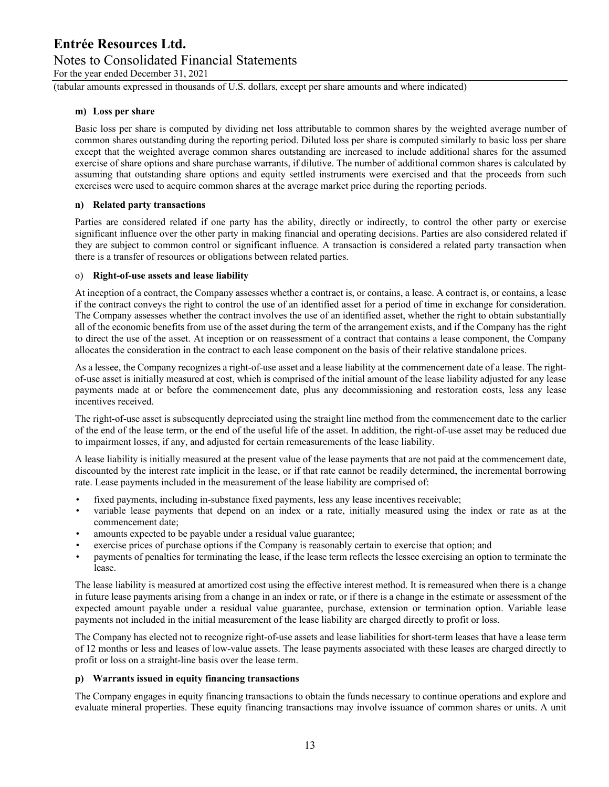(tabular amounts expressed in thousands of U.S. dollars, except per share amounts and where indicated)

#### **m) Loss per share**

Basic loss per share is computed by dividing net loss attributable to common shares by the weighted average number of common shares outstanding during the reporting period. Diluted loss per share is computed similarly to basic loss per share except that the weighted average common shares outstanding are increased to include additional shares for the assumed exercise of share options and share purchase warrants, if dilutive. The number of additional common shares is calculated by assuming that outstanding share options and equity settled instruments were exercised and that the proceeds from such exercises were used to acquire common shares at the average market price during the reporting periods.

#### **n) Related party transactions**

Parties are considered related if one party has the ability, directly or indirectly, to control the other party or exercise significant influence over the other party in making financial and operating decisions. Parties are also considered related if they are subject to common control or significant influence. A transaction is considered a related party transaction when there is a transfer of resources or obligations between related parties.

#### o) **Right-of-use assets and lease liability**

At inception of a contract, the Company assesses whether a contract is, or contains, a lease. A contract is, or contains, a lease if the contract conveys the right to control the use of an identified asset for a period of time in exchange for consideration. The Company assesses whether the contract involves the use of an identified asset, whether the right to obtain substantially all of the economic benefits from use of the asset during the term of the arrangement exists, and if the Company has the right to direct the use of the asset. At inception or on reassessment of a contract that contains a lease component, the Company allocates the consideration in the contract to each lease component on the basis of their relative standalone prices.

As a lessee, the Company recognizes a right-of-use asset and a lease liability at the commencement date of a lease. The rightof-use asset is initially measured at cost, which is comprised of the initial amount of the lease liability adjusted for any lease payments made at or before the commencement date, plus any decommissioning and restoration costs, less any lease incentives received.

The right-of-use asset is subsequently depreciated using the straight line method from the commencement date to the earlier of the end of the lease term, or the end of the useful life of the asset. In addition, the right-of-use asset may be reduced due to impairment losses, if any, and adjusted for certain remeasurements of the lease liability.

A lease liability is initially measured at the present value of the lease payments that are not paid at the commencement date, discounted by the interest rate implicit in the lease, or if that rate cannot be readily determined, the incremental borrowing rate. Lease payments included in the measurement of the lease liability are comprised of:

- fixed payments, including in-substance fixed payments, less any lease incentives receivable;
- variable lease payments that depend on an index or a rate, initially measured using the index or rate as at the commencement date;
- amounts expected to be payable under a residual value guarantee;
- exercise prices of purchase options if the Company is reasonably certain to exercise that option; and
- payments of penalties for terminating the lease, if the lease term reflects the lessee exercising an option to terminate the lease.

The lease liability is measured at amortized cost using the effective interest method. It is remeasured when there is a change in future lease payments arising from a change in an index or rate, or if there is a change in the estimate or assessment of the expected amount payable under a residual value guarantee, purchase, extension or termination option. Variable lease payments not included in the initial measurement of the lease liability are charged directly to profit or loss.

The Company has elected not to recognize right-of-use assets and lease liabilities for short-term leases that have a lease term of 12 months or less and leases of low-value assets. The lease payments associated with these leases are charged directly to profit or loss on a straight-line basis over the lease term.

#### **p) Warrants issued in equity financing transactions**

The Company engages in equity financing transactions to obtain the funds necessary to continue operations and explore and evaluate mineral properties. These equity financing transactions may involve issuance of common shares or units. A unit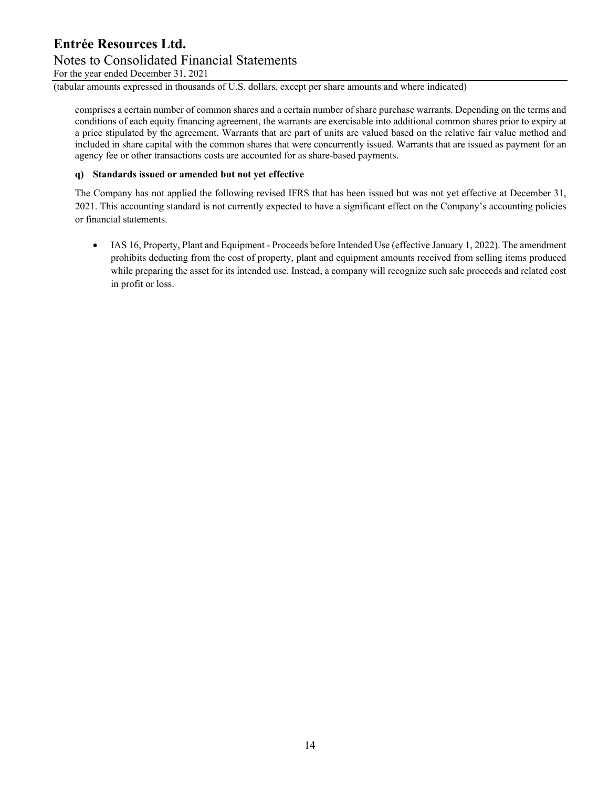(tabular amounts expressed in thousands of U.S. dollars, except per share amounts and where indicated)

comprises a certain number of common shares and a certain number of share purchase warrants. Depending on the terms and conditions of each equity financing agreement, the warrants are exercisable into additional common shares prior to expiry at a price stipulated by the agreement. Warrants that are part of units are valued based on the relative fair value method and included in share capital with the common shares that were concurrently issued. Warrants that are issued as payment for an agency fee or other transactions costs are accounted for as share-based payments.

#### **q) Standards issued or amended but not yet effective**

The Company has not applied the following revised IFRS that has been issued but was not yet effective at December 31, 2021. This accounting standard is not currently expected to have a significant effect on the Company's accounting policies or financial statements.

 IAS 16, Property, Plant and Equipment - Proceeds before Intended Use (effective January 1, 2022). The amendment prohibits deducting from the cost of property, plant and equipment amounts received from selling items produced while preparing the asset for its intended use. Instead, a company will recognize such sale proceeds and related cost in profit or loss.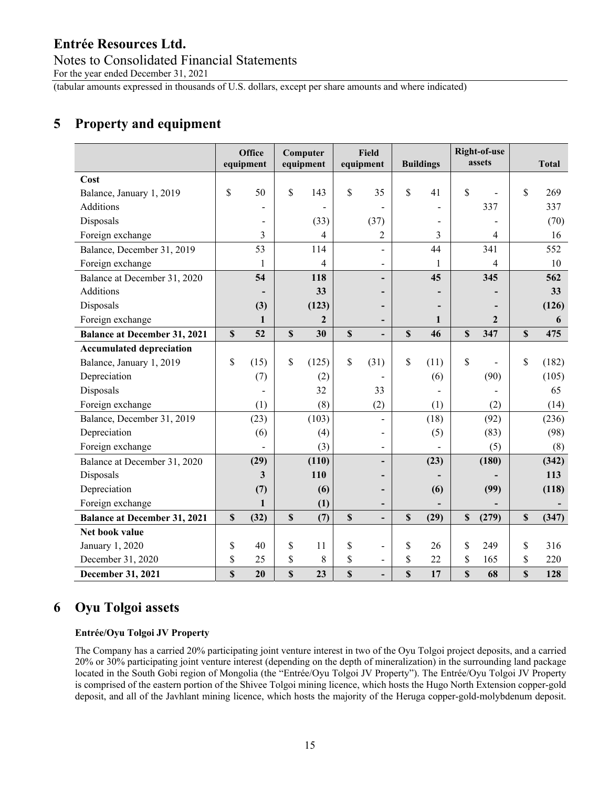Notes to Consolidated Financial Statements

For the year ended December 31, 2021

(tabular amounts expressed in thousands of U.S. dollars, except per share amounts and where indicated)

# **5 Property and equipment**

|                                     |             | <b>Office</b><br>equipment |             | Computer<br>equipment |             | Field<br>equipment           |             | <b>Buildings</b> |                         | <b>Right-of-use</b><br>assets |             | <b>Total</b> |
|-------------------------------------|-------------|----------------------------|-------------|-----------------------|-------------|------------------------------|-------------|------------------|-------------------------|-------------------------------|-------------|--------------|
| Cost                                |             |                            |             |                       |             |                              |             |                  |                         |                               |             |              |
| Balance, January 1, 2019            | \$          | 50                         | \$          | 143                   | \$          | 35                           | \$          | 41               | \$                      | ÷                             | \$          | 269          |
| Additions                           |             |                            |             |                       |             |                              |             |                  |                         | 337                           |             | 337          |
| Disposals                           |             |                            |             | (33)                  |             | (37)                         |             | $\blacksquare$   |                         |                               |             | (70)         |
| Foreign exchange                    |             | 3                          |             | 4                     |             | $\overline{c}$               |             | 3                |                         | 4                             |             | 16           |
| Balance, December 31, 2019          |             | 53                         |             | 114                   |             | $\overline{\phantom{0}}$     |             | 44               |                         | 341                           |             | 552          |
| Foreign exchange                    |             | 1                          |             | 4                     |             |                              |             | 1                |                         | 4                             |             | 10           |
| Balance at December 31, 2020        |             | 54                         |             | 118                   |             |                              |             | 45               |                         | 345                           |             | 562          |
| Additions                           |             |                            |             | 33                    |             |                              |             |                  |                         |                               |             | 33           |
| Disposals                           |             | (3)                        |             | (123)                 |             |                              |             |                  |                         |                               |             | (126)        |
| Foreign exchange                    |             | 1                          |             | $\mathbf{2}$          |             | $\overline{\phantom{a}}$     |             | 1                |                         | $\overline{2}$                |             | 6            |
| <b>Balance at December 31, 2021</b> | \$          | 52                         | $\mathbf S$ | 30                    | \$          | $\blacksquare$               | $\mathbf S$ | 46               | $\mathbf S$             | 347                           | $\mathbf S$ | 475          |
| <b>Accumulated depreciation</b>     |             |                            |             |                       |             |                              |             |                  |                         |                               |             |              |
| Balance, January 1, 2019            | \$          | (15)                       | \$          | (125)                 | \$          | (31)                         | \$          | (11)             | \$                      |                               | \$          | (182)        |
| Depreciation                        |             | (7)                        |             | (2)                   |             |                              |             | (6)              |                         | (90)                          |             | (105)        |
| Disposals                           |             |                            |             | 32                    |             | 33                           |             |                  |                         |                               |             | 65           |
| Foreign exchange                    |             | (1)                        |             | (8)                   |             | (2)                          |             | (1)              |                         | (2)                           |             | (14)         |
| Balance, December 31, 2019          |             | (23)                       |             | (103)                 |             | $\overline{\phantom{0}}$     |             | (18)             |                         | (92)                          |             | (236)        |
| Depreciation                        |             | (6)                        |             | (4)                   |             |                              |             | (5)              |                         | (83)                          |             | (98)         |
| Foreign exchange                    |             |                            |             | (3)                   |             | $\qquad \qquad \blacksquare$ |             |                  |                         | (5)                           |             | (8)          |
| Balance at December 31, 2020        |             | (29)                       |             | (110)                 |             | -                            |             | (23)             |                         | (180)                         |             | (342)        |
| Disposals                           |             | 3                          |             | 110                   |             |                              |             |                  |                         |                               |             | 113          |
| Depreciation                        |             | (7)                        |             | (6)                   |             |                              |             | (6)              |                         | (99)                          |             | (118)        |
| Foreign exchange                    |             | $\mathbf{1}$               |             | (1)                   |             | -                            |             |                  |                         |                               |             |              |
| <b>Balance at December 31, 2021</b> | $\mathbf S$ | (32)                       | $\mathbf S$ | (7)                   | $\mathbf S$ | $\overline{\phantom{a}}$     | \$          | (29)             | S                       | (279)                         | \$          | (347)        |
| Net book value                      |             |                            |             |                       |             |                              |             |                  |                         |                               |             |              |
| January 1, 2020                     | \$          | 40                         | \$          | 11                    | \$          | $\frac{1}{2}$                | \$          | 26               | \$                      | 249                           | \$          | 316          |
| December 31, 2020                   | \$          | 25                         | \$          | 8                     | \$          | $\overline{\phantom{0}}$     | \$          | 22               | \$                      | 165                           | \$          | 220          |
| December 31, 2021                   | \$          | 20                         | \$          | 23                    | \$          | $\blacksquare$               | \$          | 17               | $\overline{\mathbf{S}}$ | 68                            | \$          | 128          |

# **6 Oyu Tolgoi assets**

#### **Entrée/Oyu Tolgoi JV Property**

The Company has a carried 20% participating joint venture interest in two of the Oyu Tolgoi project deposits, and a carried 20% or 30% participating joint venture interest (depending on the depth of mineralization) in the surrounding land package located in the South Gobi region of Mongolia (the "Entrée/Oyu Tolgoi JV Property"). The Entrée/Oyu Tolgoi JV Property is comprised of the eastern portion of the Shivee Tolgoi mining licence, which hosts the Hugo North Extension copper-gold deposit, and all of the Javhlant mining licence, which hosts the majority of the Heruga copper-gold-molybdenum deposit.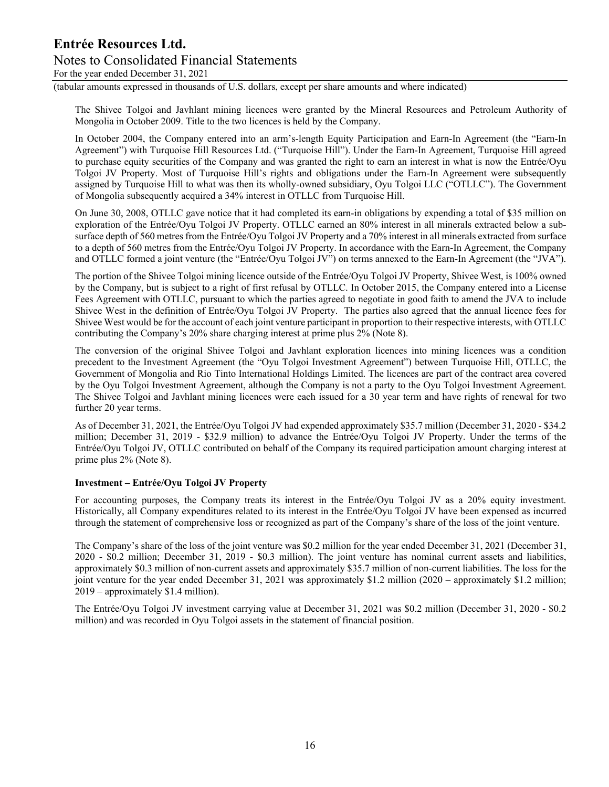# **Entrée Resources Ltd.**  Notes to Consolidated Financial Statements

For the year ended December 31, 2021

(tabular amounts expressed in thousands of U.S. dollars, except per share amounts and where indicated)

The Shivee Tolgoi and Javhlant mining licences were granted by the Mineral Resources and Petroleum Authority of Mongolia in October 2009. Title to the two licences is held by the Company.

In October 2004, the Company entered into an arm's-length Equity Participation and Earn-In Agreement (the "Earn-In Agreement") with Turquoise Hill Resources Ltd. ("Turquoise Hill"). Under the Earn-In Agreement, Turquoise Hill agreed to purchase equity securities of the Company and was granted the right to earn an interest in what is now the Entrée/Oyu Tolgoi JV Property. Most of Turquoise Hill's rights and obligations under the Earn-In Agreement were subsequently assigned by Turquoise Hill to what was then its wholly-owned subsidiary, Oyu Tolgoi LLC ("OTLLC"). The Government of Mongolia subsequently acquired a 34% interest in OTLLC from Turquoise Hill.

On June 30, 2008, OTLLC gave notice that it had completed its earn-in obligations by expending a total of \$35 million on exploration of the Entrée/Oyu Tolgoi JV Property. OTLLC earned an 80% interest in all minerals extracted below a subsurface depth of 560 metres from the Entrée/Oyu Tolgoi JV Property and a 70% interest in all minerals extracted from surface to a depth of 560 metres from the Entrée/Oyu Tolgoi JV Property. In accordance with the Earn-In Agreement, the Company and OTLLC formed a joint venture (the "Entrée/Oyu Tolgoi JV") on terms annexed to the Earn-In Agreement (the "JVA").

The portion of the Shivee Tolgoi mining licence outside of the Entrée/Oyu Tolgoi JV Property, Shivee West, is 100% owned by the Company, but is subject to a right of first refusal by OTLLC. In October 2015, the Company entered into a License Fees Agreement with OTLLC, pursuant to which the parties agreed to negotiate in good faith to amend the JVA to include Shivee West in the definition of Entrée/Oyu Tolgoi JV Property. The parties also agreed that the annual licence fees for Shivee West would be for the account of each joint venture participant in proportion to their respective interests, with OTLLC contributing the Company's 20% share charging interest at prime plus 2% (Note 8).

The conversion of the original Shivee Tolgoi and Javhlant exploration licences into mining licences was a condition precedent to the Investment Agreement (the "Oyu Tolgoi Investment Agreement") between Turquoise Hill, OTLLC, the Government of Mongolia and Rio Tinto International Holdings Limited. The licences are part of the contract area covered by the Oyu Tolgoi Investment Agreement, although the Company is not a party to the Oyu Tolgoi Investment Agreement. The Shivee Tolgoi and Javhlant mining licences were each issued for a 30 year term and have rights of renewal for two further 20 year terms.

As of December 31, 2021, the Entrée/Oyu Tolgoi JV had expended approximately \$35.7 million (December 31, 2020 - \$34.2 million; December 31, 2019 - \$32.9 million) to advance the Entrée/Oyu Tolgoi JV Property. Under the terms of the Entrée/Oyu Tolgoi JV, OTLLC contributed on behalf of the Company its required participation amount charging interest at prime plus 2% (Note 8).

#### **Investment – Entrée/Oyu Tolgoi JV Property**

For accounting purposes, the Company treats its interest in the Entrée/Oyu Tolgoi JV as a 20% equity investment. Historically, all Company expenditures related to its interest in the Entrée/Oyu Tolgoi JV have been expensed as incurred through the statement of comprehensive loss or recognized as part of the Company's share of the loss of the joint venture.

The Company's share of the loss of the joint venture was \$0.2 million for the year ended December 31, 2021 (December 31, 2020 - \$0.2 million; December 31, 2019 - \$0.3 million). The joint venture has nominal current assets and liabilities, approximately \$0.3 million of non-current assets and approximately \$35.7 million of non-current liabilities. The loss for the joint venture for the year ended December 31, 2021 was approximately \$1.2 million (2020 – approximately \$1.2 million; 2019 – approximately \$1.4 million).

The Entrée/Oyu Tolgoi JV investment carrying value at December 31, 2021 was \$0.2 million (December 31, 2020 - \$0.2 million) and was recorded in Oyu Tolgoi assets in the statement of financial position.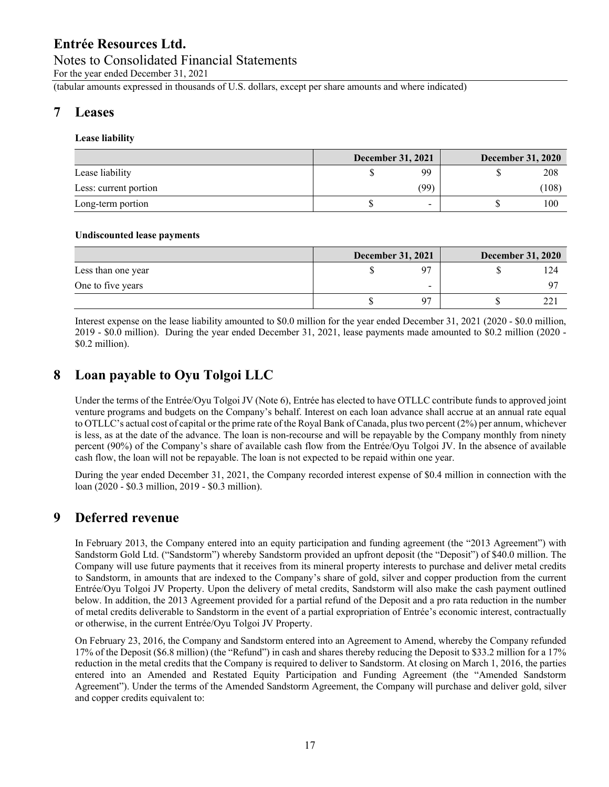(tabular amounts expressed in thousands of U.S. dollars, except per share amounts and where indicated)

## **7 Leases**

#### **Lease liability**

|                       | <b>December 31, 2021</b> | <b>December 31, 2020</b> |                 |  |  |
|-----------------------|--------------------------|--------------------------|-----------------|--|--|
| Lease liability       | 99                       |                          | 208             |  |  |
| Less: current portion | (99)                     |                          | $^{\prime}108)$ |  |  |
| Long-term portion     | -                        |                          | 100             |  |  |

#### **Undiscounted lease payments**

|                    | <b>December 31, 2021</b> | <b>December 31, 2020</b> |                    |  |  |
|--------------------|--------------------------|--------------------------|--------------------|--|--|
| Less than one year | ሰ7                       |                          | 124                |  |  |
| One to five years  | -                        |                          | $0^{\prime\prime}$ |  |  |
|                    | 07                       |                          | າາ1                |  |  |

Interest expense on the lease liability amounted to \$0.0 million for the year ended December 31, 2021 (2020 - \$0.0 million, 2019 - \$0.0 million). During the year ended December 31, 2021, lease payments made amounted to \$0.2 million (2020 - \$0.2 million).

# **8 Loan payable to Oyu Tolgoi LLC**

Under the terms of the Entrée/Oyu Tolgoi JV (Note 6), Entrée has elected to have OTLLC contribute funds to approved joint venture programs and budgets on the Company's behalf. Interest on each loan advance shall accrue at an annual rate equal to OTLLC's actual cost of capital or the prime rate of the Royal Bank of Canada, plus two percent (2%) per annum, whichever is less, as at the date of the advance. The loan is non-recourse and will be repayable by the Company monthly from ninety percent (90%) of the Company's share of available cash flow from the Entrée/Oyu Tolgoi JV. In the absence of available cash flow, the loan will not be repayable. The loan is not expected to be repaid within one year.

During the year ended December 31, 2021, the Company recorded interest expense of \$0.4 million in connection with the loan (2020 - \$0.3 million, 2019 - \$0.3 million).

## **9 Deferred revenue**

In February 2013, the Company entered into an equity participation and funding agreement (the "2013 Agreement") with Sandstorm Gold Ltd. ("Sandstorm") whereby Sandstorm provided an upfront deposit (the "Deposit") of \$40.0 million. The Company will use future payments that it receives from its mineral property interests to purchase and deliver metal credits to Sandstorm, in amounts that are indexed to the Company's share of gold, silver and copper production from the current Entrée/Oyu Tolgoi JV Property. Upon the delivery of metal credits, Sandstorm will also make the cash payment outlined below. In addition, the 2013 Agreement provided for a partial refund of the Deposit and a pro rata reduction in the number of metal credits deliverable to Sandstorm in the event of a partial expropriation of Entrée's economic interest, contractually or otherwise, in the current Entrée/Oyu Tolgoi JV Property.

On February 23, 2016, the Company and Sandstorm entered into an Agreement to Amend, whereby the Company refunded 17% of the Deposit (\$6.8 million) (the "Refund") in cash and shares thereby reducing the Deposit to \$33.2 million for a 17% reduction in the metal credits that the Company is required to deliver to Sandstorm. At closing on March 1, 2016, the parties entered into an Amended and Restated Equity Participation and Funding Agreement (the "Amended Sandstorm Agreement"). Under the terms of the Amended Sandstorm Agreement, the Company will purchase and deliver gold, silver and copper credits equivalent to: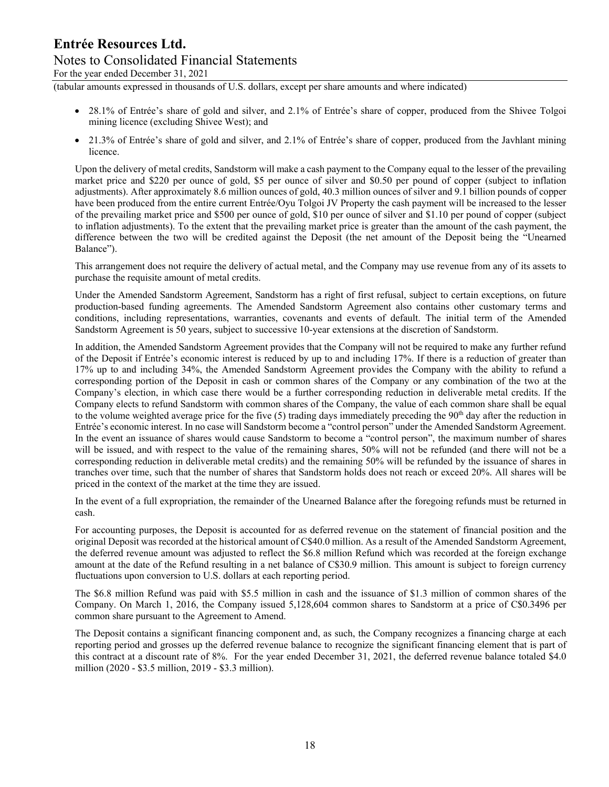(tabular amounts expressed in thousands of U.S. dollars, except per share amounts and where indicated)

- 28.1% of Entrée's share of gold and silver, and 2.1% of Entrée's share of copper, produced from the Shivee Tolgoi mining licence (excluding Shivee West); and
- 21.3% of Entrée's share of gold and silver, and 2.1% of Entrée's share of copper, produced from the Javhlant mining licence.

Upon the delivery of metal credits, Sandstorm will make a cash payment to the Company equal to the lesser of the prevailing market price and \$220 per ounce of gold, \$5 per ounce of silver and \$0.50 per pound of copper (subject to inflation adjustments). After approximately 8.6 million ounces of gold, 40.3 million ounces of silver and 9.1 billion pounds of copper have been produced from the entire current Entrée/Oyu Tolgoi JV Property the cash payment will be increased to the lesser of the prevailing market price and \$500 per ounce of gold, \$10 per ounce of silver and \$1.10 per pound of copper (subject to inflation adjustments). To the extent that the prevailing market price is greater than the amount of the cash payment, the difference between the two will be credited against the Deposit (the net amount of the Deposit being the "Unearned Balance").

This arrangement does not require the delivery of actual metal, and the Company may use revenue from any of its assets to purchase the requisite amount of metal credits.

Under the Amended Sandstorm Agreement, Sandstorm has a right of first refusal, subject to certain exceptions, on future production-based funding agreements. The Amended Sandstorm Agreement also contains other customary terms and conditions, including representations, warranties, covenants and events of default. The initial term of the Amended Sandstorm Agreement is 50 years, subject to successive 10-year extensions at the discretion of Sandstorm.

In addition, the Amended Sandstorm Agreement provides that the Company will not be required to make any further refund of the Deposit if Entrée's economic interest is reduced by up to and including 17%. If there is a reduction of greater than 17% up to and including 34%, the Amended Sandstorm Agreement provides the Company with the ability to refund a corresponding portion of the Deposit in cash or common shares of the Company or any combination of the two at the Company's election, in which case there would be a further corresponding reduction in deliverable metal credits. If the Company elects to refund Sandstorm with common shares of the Company, the value of each common share shall be equal to the volume weighted average price for the five  $(5)$  trading days immediately preceding the  $90<sup>th</sup>$  day after the reduction in Entrée's economic interest. In no case will Sandstorm become a "control person" under the Amended Sandstorm Agreement. In the event an issuance of shares would cause Sandstorm to become a "control person", the maximum number of shares will be issued, and with respect to the value of the remaining shares, 50% will not be refunded (and there will not be a corresponding reduction in deliverable metal credits) and the remaining 50% will be refunded by the issuance of shares in tranches over time, such that the number of shares that Sandstorm holds does not reach or exceed 20%. All shares will be priced in the context of the market at the time they are issued.

In the event of a full expropriation, the remainder of the Unearned Balance after the foregoing refunds must be returned in cash.

For accounting purposes, the Deposit is accounted for as deferred revenue on the statement of financial position and the original Deposit was recorded at the historical amount of C\$40.0 million. As a result of the Amended Sandstorm Agreement, the deferred revenue amount was adjusted to reflect the \$6.8 million Refund which was recorded at the foreign exchange amount at the date of the Refund resulting in a net balance of C\$30.9 million. This amount is subject to foreign currency fluctuations upon conversion to U.S. dollars at each reporting period.

The \$6.8 million Refund was paid with \$5.5 million in cash and the issuance of \$1.3 million of common shares of the Company. On March 1, 2016, the Company issued 5,128,604 common shares to Sandstorm at a price of C\$0.3496 per common share pursuant to the Agreement to Amend.

The Deposit contains a significant financing component and, as such, the Company recognizes a financing charge at each reporting period and grosses up the deferred revenue balance to recognize the significant financing element that is part of this contract at a discount rate of 8%. For the year ended December 31, 2021, the deferred revenue balance totaled \$4.0 million (2020 - \$3.5 million, 2019 - \$3.3 million).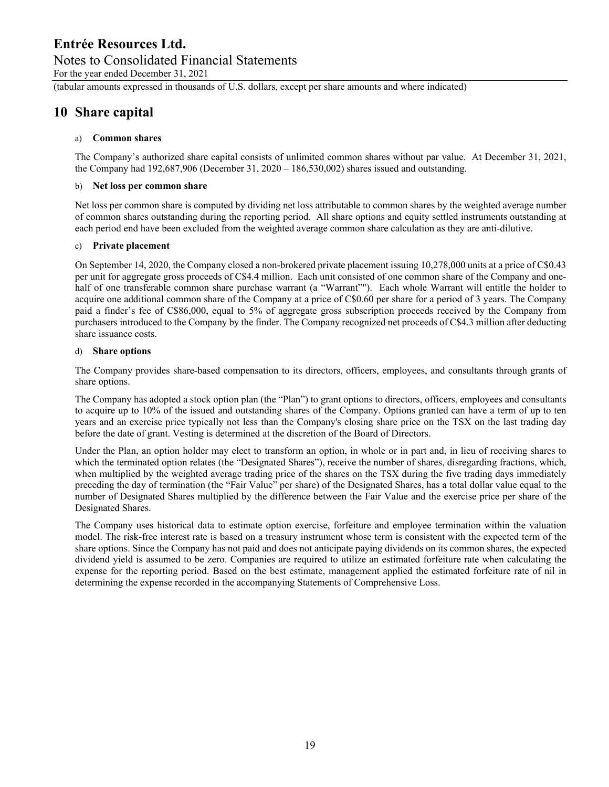(tabular amounts expressed in thousands of U.S. dollars, except per share amounts and where indicated)

# **10 Share capital**

#### a) **Common shares**

The Company's authorized share capital consists of unlimited common shares without par value. At December 31, 2021, the Company had 192,687,906 (December 31, 2020 – 186,530,002) shares issued and outstanding.

#### b) **Net loss per common share**

Net loss per common share is computed by dividing net loss attributable to common shares by the weighted average number of common shares outstanding during the reporting period. All share options and equity settled instruments outstanding at each period end have been excluded from the weighted average common share calculation as they are anti-dilutive.

#### c) **Private placement**

On September 14, 2020, the Company closed a non-brokered private placement issuing 10,278,000 units at a price of C\$0.43 per unit for aggregate gross proceeds of C\$4.4 million. Each unit consisted of one common share of the Company and onehalf of one transferable common share purchase warrant (a "Warrant""). Each whole Warrant will entitle the holder to acquire one additional common share of the Company at a price of C\$0.60 per share for a period of 3 years. The Company paid a finder's fee of C\$86,000, equal to 5% of aggregate gross subscription proceeds received by the Company from purchasers introduced to the Company by the finder. The Company recognized net proceeds of C\$4.3 million after deducting share issuance costs.

#### d) **Share options**

The Company provides share-based compensation to its directors, officers, employees, and consultants through grants of share options.

The Company has adopted a stock option plan (the "Plan") to grant options to directors, officers, employees and consultants to acquire up to 10% of the issued and outstanding shares of the Company. Options granted can have a term of up to ten years and an exercise price typically not less than the Company's closing share price on the TSX on the last trading day before the date of grant. Vesting is determined at the discretion of the Board of Directors.

Under the Plan, an option holder may elect to transform an option, in whole or in part and, in lieu of receiving shares to which the terminated option relates (the "Designated Shares"), receive the number of shares, disregarding fractions, which, when multiplied by the weighted average trading price of the shares on the TSX during the five trading days immediately preceding the day of termination (the "Fair Value" per share) of the Designated Shares, has a total dollar value equal to the number of Designated Shares multiplied by the difference between the Fair Value and the exercise price per share of the Designated Shares.

The Company uses historical data to estimate option exercise, forfeiture and employee termination within the valuation model. The risk-free interest rate is based on a treasury instrument whose term is consistent with the expected term of the share options. Since the Company has not paid and does not anticipate paying dividends on its common shares, the expected dividend yield is assumed to be zero. Companies are required to utilize an estimated forfeiture rate when calculating the expense for the reporting period. Based on the best estimate, management applied the estimated forfeiture rate of nil in determining the expense recorded in the accompanying Statements of Comprehensive Loss.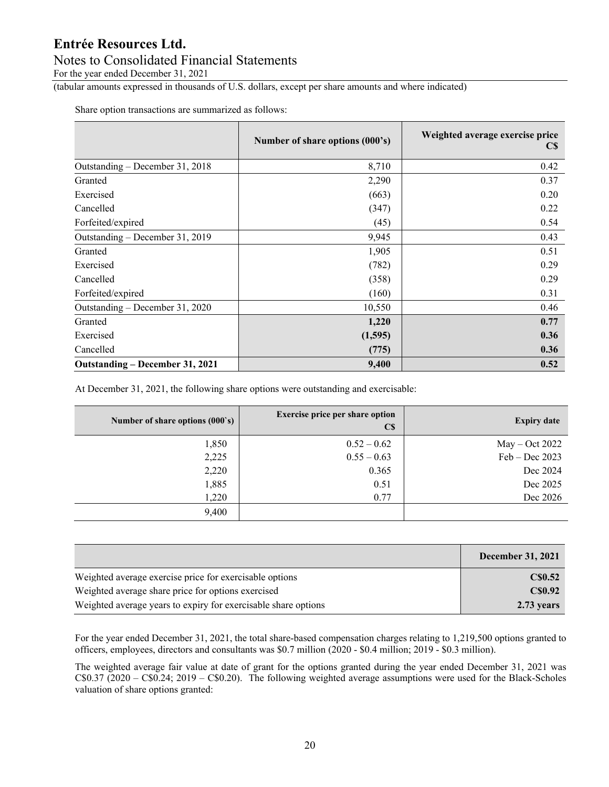### Notes to Consolidated Financial Statements

For the year ended December 31, 2021

(tabular amounts expressed in thousands of U.S. dollars, except per share amounts and where indicated)

Share option transactions are summarized as follows:

|                                 | Number of share options (000's) | Weighted average exercise price<br>C\$ |
|---------------------------------|---------------------------------|----------------------------------------|
| Outstanding – December 31, 2018 | 8,710                           | 0.42                                   |
| Granted                         | 2,290                           | 0.37                                   |
| Exercised                       | (663)                           | 0.20                                   |
| Cancelled                       | (347)                           | 0.22                                   |
| Forfeited/expired               | (45)                            | 0.54                                   |
| Outstanding – December 31, 2019 | 9,945                           | 0.43                                   |
| Granted                         | 1,905                           | 0.51                                   |
| Exercised                       | (782)                           | 0.29                                   |
| Cancelled                       | (358)                           | 0.29                                   |
| Forfeited/expired               | (160)                           | 0.31                                   |
| Outstanding - December 31, 2020 | 10,550                          | 0.46                                   |
| Granted                         | 1,220                           | 0.77                                   |
| Exercised                       | (1,595)                         | 0.36                                   |
| Cancelled                       | (775)                           | 0.36                                   |
| Outstanding – December 31, 2021 | 9,400                           | 0.52                                   |

At December 31, 2021, the following share options were outstanding and exercisable:

| Number of share options $(000 \text{ s})$ | <b>Exercise price per share option</b><br>$\mathbf{C}\mathbf{S}$ | <b>Expiry date</b> |
|-------------------------------------------|------------------------------------------------------------------|--------------------|
| 1,850                                     | $0.52 - 0.62$                                                    | $May - Oct 2022$   |
| 2,225                                     | $0.55 - 0.63$                                                    | $Feb - Dec 2023$   |
| 2,220                                     | 0.365                                                            | Dec 2024           |
| 1,885                                     | 0.51                                                             | Dec 2025           |
| 1,220                                     | 0.77                                                             | Dec 2026           |
| 9,400                                     |                                                                  |                    |

|                                                                | <b>December 31, 2021</b> |
|----------------------------------------------------------------|--------------------------|
| Weighted average exercise price for exercisable options        | <b>C\$0.52</b>           |
| Weighted average share price for options exercised             | <b>CS0.92</b>            |
| Weighted average years to expiry for exercisable share options | $2.73$ years             |

For the year ended December 31, 2021, the total share-based compensation charges relating to 1,219,500 options granted to officers, employees, directors and consultants was \$0.7 million (2020 - \$0.4 million; 2019 - \$0.3 million).

The weighted average fair value at date of grant for the options granted during the year ended December 31, 2021 was  $CS0.37 (2020 - CS0.24; 2019 - CS0.20)$ . The following weighted average assumptions were used for the Black-Scholes valuation of share options granted: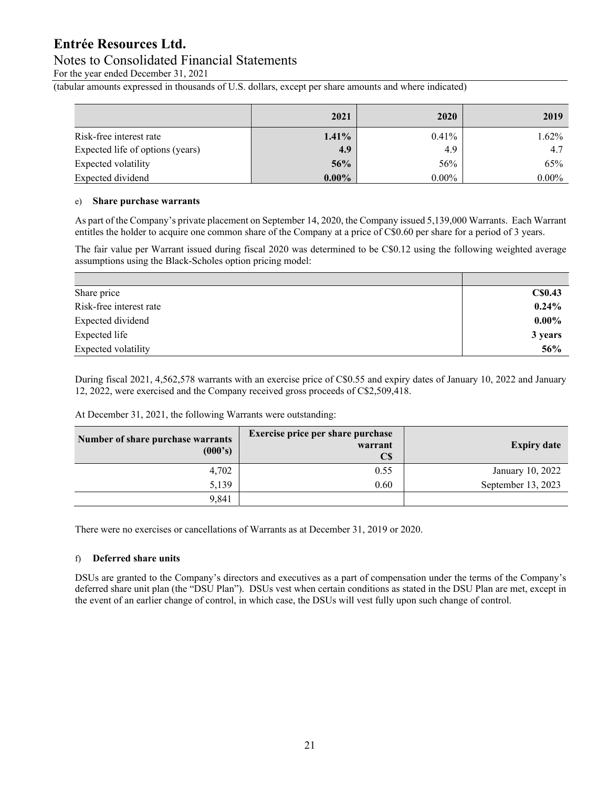### Notes to Consolidated Financial Statements

For the year ended December 31, 2021

(tabular amounts expressed in thousands of U.S. dollars, except per share amounts and where indicated)

|                                  | 2021     | 2020     | 2019     |
|----------------------------------|----------|----------|----------|
| Risk-free interest rate          | $1.41\%$ | 0.41%    | 1.62%    |
| Expected life of options (years) | 4.9      | 4.9      | 4.7      |
| Expected volatility              | 56%      | 56%      | 65%      |
| Expected dividend                | $0.00\%$ | $0.00\%$ | $0.00\%$ |

#### e) **Share purchase warrants**

As part of the Company's private placement on September 14, 2020, the Company issued 5,139,000 Warrants. Each Warrant entitles the holder to acquire one common share of the Company at a price of C\$0.60 per share for a period of 3 years.

The fair value per Warrant issued during fiscal 2020 was determined to be C\$0.12 using the following weighted average assumptions using the Black-Scholes option pricing model:

| Share price             | <b>C\$0.43</b> |
|-------------------------|----------------|
| Risk-free interest rate | $0.24\%$       |
| Expected dividend       | $0.00\%$       |
| Expected life           | 3 years        |
| Expected volatility     | 56%            |

During fiscal 2021, 4,562,578 warrants with an exercise price of C\$0.55 and expiry dates of January 10, 2022 and January 12, 2022, were exercised and the Company received gross proceeds of C\$2,509,418.

At December 31, 2021, the following Warrants were outstanding:

| Number of share purchase warrants<br>(000's) | Exercise price per share purchase<br>warrant<br>$\mathbf{C}\mathbf{S}$ | <b>Expiry date</b> |
|----------------------------------------------|------------------------------------------------------------------------|--------------------|
| 4,702                                        | 0.55                                                                   | January 10, 2022   |
| 5,139                                        | 0.60                                                                   | September 13, 2023 |
| 9,841                                        |                                                                        |                    |

There were no exercises or cancellations of Warrants as at December 31, 2019 or 2020.

#### f) **Deferred share units**

DSUs are granted to the Company's directors and executives as a part of compensation under the terms of the Company's deferred share unit plan (the "DSU Plan"). DSUs vest when certain conditions as stated in the DSU Plan are met, except in the event of an earlier change of control, in which case, the DSUs will vest fully upon such change of control.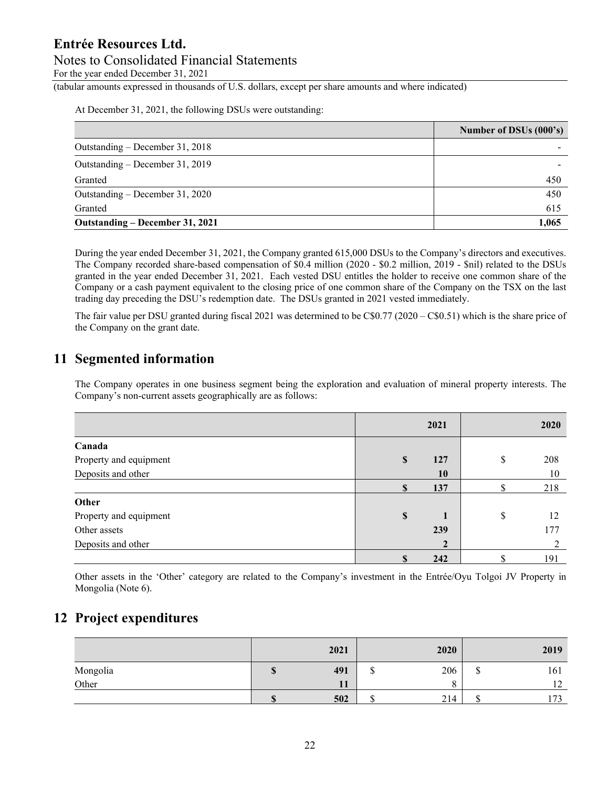(tabular amounts expressed in thousands of U.S. dollars, except per share amounts and where indicated)

At December 31, 2021, the following DSUs were outstanding:

|                                 | Number of DSUs (000's) |
|---------------------------------|------------------------|
| Outstanding – December 31, 2018 |                        |
| Outstanding – December 31, 2019 |                        |
| Granted                         | 450                    |
| Outstanding – December 31, 2020 | 450                    |
| Granted                         | 615                    |
| Outstanding – December 31, 2021 | 1.065                  |

During the year ended December 31, 2021, the Company granted 615,000 DSUs to the Company's directors and executives. The Company recorded share-based compensation of \$0.4 million (2020 - \$0.2 million, 2019 - \$nil) related to the DSUs granted in the year ended December 31, 2021. Each vested DSU entitles the holder to receive one common share of the Company or a cash payment equivalent to the closing price of one common share of the Company on the TSX on the last trading day preceding the DSU's redemption date. The DSUs granted in 2021 vested immediately.

The fair value per DSU granted during fiscal 2021 was determined to be C\$0.77 (2020 – C\$0.51) which is the share price of the Company on the grant date.

# **11 Segmented information**

The Company operates in one business segment being the exploration and evaluation of mineral property interests. The Company's non-current assets geographically are as follows:

|                        |                           | 2021           | <b>2020</b> |
|------------------------|---------------------------|----------------|-------------|
| Canada                 |                           |                |             |
| Property and equipment | $\boldsymbol{\mathsf{S}}$ | 127            | \$<br>208   |
| Deposits and other     |                           | <b>10</b>      | 10          |
|                        | <b>S</b>                  | 137            | 218         |
| Other                  |                           |                |             |
| Property and equipment | $\boldsymbol{\mathsf{S}}$ |                | \$<br>12    |
| Other assets           |                           | 239            | 177         |
| Deposits and other     |                           | $\overline{2}$ |             |
|                        |                           | 242            | 191         |

Other assets in the 'Other' category are related to the Company's investment in the Entrée/Oyu Tolgoi JV Property in Mongolia (Note 6).

## **12 Project expenditures**

|          |   | 2021 | 2020 |        | 2019 |
|----------|---|------|------|--------|------|
| Mongolia | Φ | 491  | 206  | ሐ<br>Φ | 161  |
| Other    |   |      |      |        | 12   |
|          |   | 502  | 214  | e      | 173  |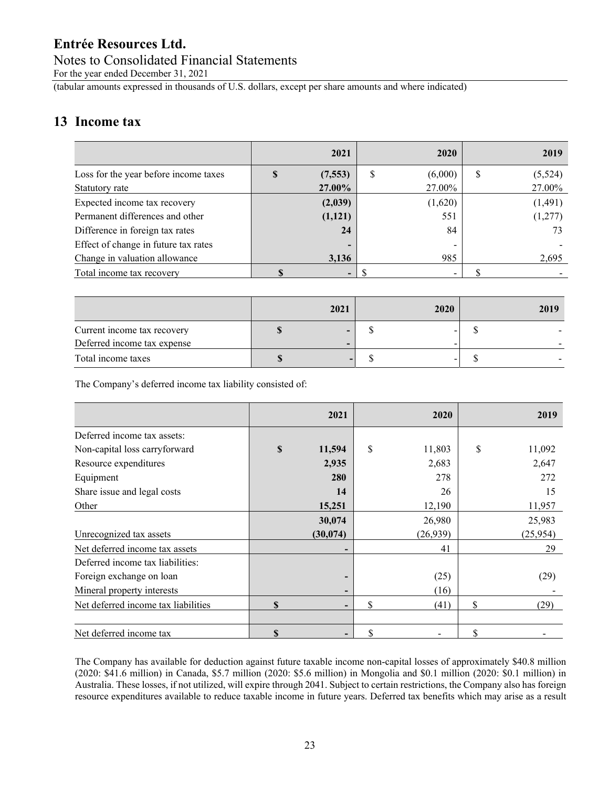### Notes to Consolidated Financial Statements

For the year ended December 31, 2021

(tabular amounts expressed in thousands of U.S. dollars, except per share amounts and where indicated)

# **13 Income tax**

|                                       | 2021          | 2020    |   | 2019     |
|---------------------------------------|---------------|---------|---|----------|
| Loss for the year before income taxes | \$<br>(7,553) | (6,000) | S | (5,524)  |
| Statutory rate                        | <b>27.00%</b> | 27.00%  |   | 27.00%   |
| Expected income tax recovery          | (2,039)       | (1,620) |   | (1, 491) |
| Permanent differences and other       | (1,121)       | 551     |   | (1,277)  |
| Difference in foreign tax rates       | 24            | 84      |   | 73       |
| Effect of change in future tax rates  |               |         |   |          |
| Change in valuation allowance         | 3,136         | 985     |   | 2,695    |
| Total income tax recovery             |               |         |   |          |

|                             | 2021                     | 2020 | 2019 |
|-----------------------------|--------------------------|------|------|
| Current income tax recovery | -                        |      |      |
| Deferred income tax expense |                          |      |      |
| Total income taxes          | $\overline{\phantom{0}}$ |      |      |

The Company's deferred income tax liability consisted of:

|                                     |    | 2021      |    | 2020     | 2019         |
|-------------------------------------|----|-----------|----|----------|--------------|
| Deferred income tax assets:         |    |           |    |          |              |
| Non-capital loss carryforward       | \$ | 11,594    | \$ | 11,803   | \$<br>11,092 |
| Resource expenditures               |    | 2,935     |    | 2,683    | 2,647        |
| Equipment                           |    | 280       |    | 278      | 272          |
| Share issue and legal costs         |    | 14        |    | 26       | 15           |
| Other                               |    | 15,251    |    | 12,190   | 11,957       |
|                                     |    | 30,074    |    | 26,980   | 25,983       |
| Unrecognized tax assets             |    | (30, 074) |    | (26,939) | (25,954)     |
| Net deferred income tax assets      |    |           |    | 41       | 29           |
| Deferred income tax liabilities:    |    |           |    |          |              |
| Foreign exchange on loan            |    |           |    | (25)     | (29)         |
| Mineral property interests          |    |           |    | (16)     |              |
| Net deferred income tax liabilities | S  |           | \$ | (41)     | \$<br>(29)   |
| Net deferred income tax             | S  | -         | S  |          | \$           |

The Company has available for deduction against future taxable income non-capital losses of approximately \$40.8 million (2020: \$41.6 million) in Canada, \$5.7 million (2020: \$5.6 million) in Mongolia and \$0.1 million (2020: \$0.1 million) in Australia. These losses, if not utilized, will expire through 2041. Subject to certain restrictions, the Company also has foreign resource expenditures available to reduce taxable income in future years. Deferred tax benefits which may arise as a result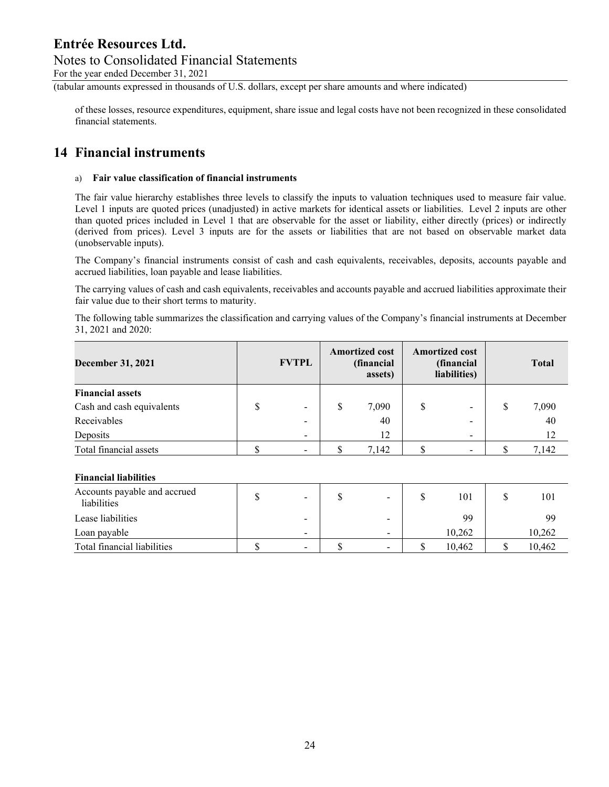(tabular amounts expressed in thousands of U.S. dollars, except per share amounts and where indicated)

of these losses, resource expenditures, equipment, share issue and legal costs have not been recognized in these consolidated financial statements.

## **14 Financial instruments**

#### a) **Fair value classification of financial instruments**

The fair value hierarchy establishes three levels to classify the inputs to valuation techniques used to measure fair value. Level 1 inputs are quoted prices (unadjusted) in active markets for identical assets or liabilities. Level 2 inputs are other than quoted prices included in Level 1 that are observable for the asset or liability, either directly (prices) or indirectly (derived from prices). Level 3 inputs are for the assets or liabilities that are not based on observable market data (unobservable inputs).

The Company's financial instruments consist of cash and cash equivalents, receivables, deposits, accounts payable and accrued liabilities, loan payable and lease liabilities.

The carrying values of cash and cash equivalents, receivables and accounts payable and accrued liabilities approximate their fair value due to their short terms to maturity.

The following table summarizes the classification and carrying values of the Company's financial instruments at December 31, 2021 and 2020:

| <b>December 31, 2021</b>  | <b>FVTPL</b> |                          | <b>Amortized cost</b><br>(financial<br>assets) |       | <b>Amortized cost</b><br>(financial)<br>liabilities) |  |   | <b>Total</b> |
|---------------------------|--------------|--------------------------|------------------------------------------------|-------|------------------------------------------------------|--|---|--------------|
| <b>Financial assets</b>   |              |                          |                                                |       |                                                      |  |   |              |
| Cash and cash equivalents |              | $\overline{\phantom{0}}$ | \$                                             | 7,090 | \$                                                   |  | S | 7,090        |
| Receivables               |              |                          |                                                | 40    |                                                      |  |   | 40           |
| Deposits                  |              |                          |                                                | 12    |                                                      |  |   | 12           |
| Total financial assets    |              |                          |                                                | 7,142 |                                                      |  |   | 7,142        |

#### **Financial liabilities**

| Accounts payable and accrued<br>liabilities | - | -                        | 101    | 101    |
|---------------------------------------------|---|--------------------------|--------|--------|
| Lease liabilities                           | - | -                        | 99     | 99     |
| Loan payable                                | - | $\overline{\phantom{0}}$ | 10.262 | 10,262 |
| Total financial liabilities                 | - | $\overline{\phantom{0}}$ | 10.462 | 10.462 |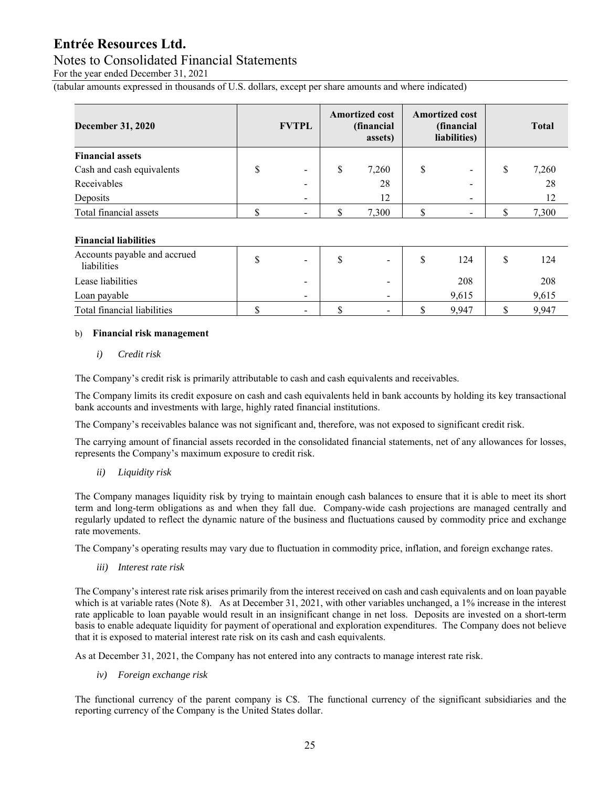### Notes to Consolidated Financial Statements

For the year ended December 31, 2021

(tabular amounts expressed in thousands of U.S. dollars, except per share amounts and where indicated)

| <b>December 31, 2020</b>  | <b>FVTPL</b> |                          | <b>Amortized cost</b><br>(financial<br>assets) |       | <b>Amortized cost</b><br>(financial)<br>liabilities) |                          | <b>Total</b> |       |
|---------------------------|--------------|--------------------------|------------------------------------------------|-------|------------------------------------------------------|--------------------------|--------------|-------|
| <b>Financial assets</b>   |              |                          |                                                |       |                                                      |                          |              |       |
| Cash and cash equivalents | J            | $\overline{\phantom{a}}$ | \$                                             | 7,260 | S                                                    | $\overline{\phantom{0}}$ | S            | 7,260 |
| Receivables               |              | $\overline{\phantom{a}}$ |                                                | 28    |                                                      | $\overline{\phantom{0}}$ |              | 28    |
| Deposits                  |              | $\overline{\phantom{a}}$ |                                                | 12    |                                                      | $\overline{\phantom{0}}$ |              | 12    |
| Total financial assets    |              | $\overline{\phantom{a}}$ |                                                | 7,300 |                                                      | $\overline{\phantom{a}}$ |              | 7,300 |

#### **Financial liabilities**

| Accounts payable and accrued<br>liabilities | $\blacksquare$           | $\overline{\phantom{0}}$ | 124   | 124   |
|---------------------------------------------|--------------------------|--------------------------|-------|-------|
| Lease liabilities                           | $\overline{\phantom{a}}$ | $\overline{\phantom{0}}$ | 208   | 208   |
| Loan payable                                | $\blacksquare$           | $\overline{\phantom{0}}$ | 9.615 | 9.615 |
| Total financial liabilities                 | -                        | $\overline{\phantom{0}}$ | 9.947 | 9.947 |

#### b) **Financial risk management**

*i) Credit risk* 

The Company's credit risk is primarily attributable to cash and cash equivalents and receivables.

The Company limits its credit exposure on cash and cash equivalents held in bank accounts by holding its key transactional bank accounts and investments with large, highly rated financial institutions.

The Company's receivables balance was not significant and, therefore, was not exposed to significant credit risk.

The carrying amount of financial assets recorded in the consolidated financial statements, net of any allowances for losses, represents the Company's maximum exposure to credit risk.

*ii) Liquidity risk* 

The Company manages liquidity risk by trying to maintain enough cash balances to ensure that it is able to meet its short term and long-term obligations as and when they fall due. Company-wide cash projections are managed centrally and regularly updated to reflect the dynamic nature of the business and fluctuations caused by commodity price and exchange rate movements.

The Company's operating results may vary due to fluctuation in commodity price, inflation, and foreign exchange rates.

*iii) Interest rate risk* 

The Company's interest rate risk arises primarily from the interest received on cash and cash equivalents and on loan payable which is at variable rates (Note 8). As at December 31, 2021, with other variables unchanged, a 1% increase in the interest rate applicable to loan payable would result in an insignificant change in net loss. Deposits are invested on a short-term basis to enable adequate liquidity for payment of operational and exploration expenditures. The Company does not believe that it is exposed to material interest rate risk on its cash and cash equivalents.

As at December 31, 2021, the Company has not entered into any contracts to manage interest rate risk.

*iv) Foreign exchange risk* 

The functional currency of the parent company is C\$. The functional currency of the significant subsidiaries and the reporting currency of the Company is the United States dollar.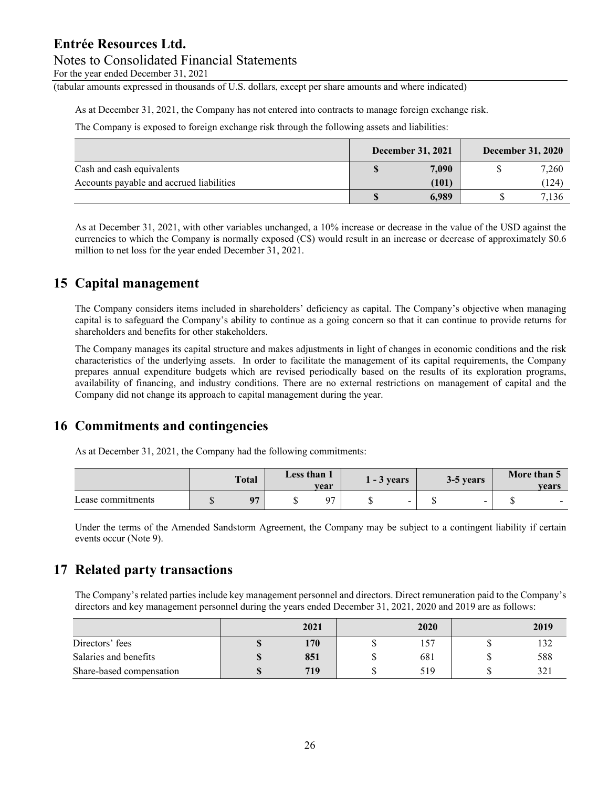# **Entrée Resources Ltd.**  Notes to Consolidated Financial Statements

For the year ended December 31, 2021

(tabular amounts expressed in thousands of U.S. dollars, except per share amounts and where indicated)

As at December 31, 2021, the Company has not entered into contracts to manage foreign exchange risk.

The Company is exposed to foreign exchange risk through the following assets and liabilities:

|                                          | <b>December 31, 2021</b> | <b>December 31, 2020</b> |
|------------------------------------------|--------------------------|--------------------------|
| Cash and cash equivalents                | 7.090                    | 7.260                    |
| Accounts payable and accrued liabilities | (101)                    | (124)                    |
|                                          | 6.989                    | 7,136                    |

As at December 31, 2021, with other variables unchanged, a 10% increase or decrease in the value of the USD against the currencies to which the Company is normally exposed (C\$) would result in an increase or decrease of approximately \$0.6 million to net loss for the year ended December 31, 2021.

# **15 Capital management**

The Company considers items included in shareholders' deficiency as capital. The Company's objective when managing capital is to safeguard the Company's ability to continue as a going concern so that it can continue to provide returns for shareholders and benefits for other stakeholders.

The Company manages its capital structure and makes adjustments in light of changes in economic conditions and the risk characteristics of the underlying assets. In order to facilitate the management of its capital requirements, the Company prepares annual expenditure budgets which are revised periodically based on the results of its exploration programs, availability of financing, and industry conditions. There are no external restrictions on management of capital and the Company did not change its approach to capital management during the year.

# **16 Commitments and contingencies**

As at December 31, 2021, the Company had the following commitments:

|                   | <b>Total</b> | Less than 1<br>vear |    | l - 3 years |  | 3-5 years |  | More than 5<br>vears |  |
|-------------------|--------------|---------------------|----|-------------|--|-----------|--|----------------------|--|
| Lease commitments | 07           |                     | 07 |             |  | ш         |  |                      |  |

Under the terms of the Amended Sandstorm Agreement, the Company may be subject to a contingent liability if certain events occur (Note 9).

# **17 Related party transactions**

The Company's related parties include key management personnel and directors. Direct remuneration paid to the Company's directors and key management personnel during the years ended December 31, 2021, 2020 and 2019 are as follows:

|                          |   | 2021 | 2020 | 2019 |
|--------------------------|---|------|------|------|
| Directors' fees          | Ψ | 170  | 57ء  |      |
| Salaries and benefits    | Φ | 851  | 681  | 588  |
| Share-based compensation |   | 719  | 519  |      |